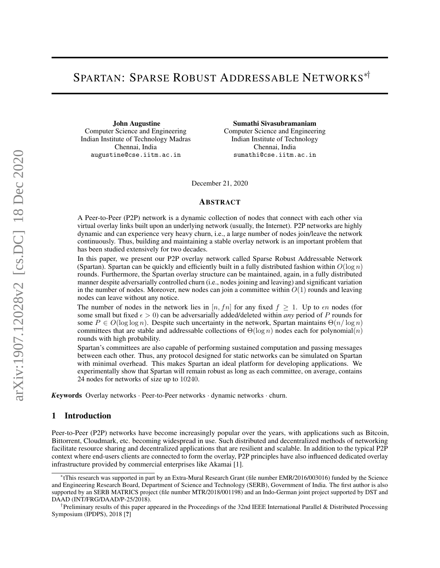# SPARTAN: SPARSE ROBUST ADDRESSABLE NETWORKS∗†

John Augustine Computer Science and Engineering Indian Institute of Technology Madras Chennai, India augustine@cse.iitm.ac.in

Sumathi Sivasubramaniam Computer Science and Engineering Indian Institute of Technology Chennai, India sumathi@cse.iitm.ac.in

December 21, 2020

#### ABSTRACT

A Peer-to-Peer (P2P) network is a dynamic collection of nodes that connect with each other via virtual overlay links built upon an underlying network (usually, the Internet). P2P networks are highly dynamic and can experience very heavy churn, i.e., a large number of nodes join/leave the network continuously. Thus, building and maintaining a stable overlay network is an important problem that has been studied extensively for two decades.

In this paper, we present our P2P overlay network called Sparse Robust Addressable Network (Spartan). Spartan can be quickly and efficiently built in a fully distributed fashion within  $O(\log n)$ rounds. Furthermore, the Spartan overlay structure can be maintained, again, in a fully distributed manner despite adversarially controlled churn (i.e., nodes joining and leaving) and significant variation in the number of nodes. Moreover, new nodes can join a committee within  $O(1)$  rounds and leaving nodes can leave without any notice.

The number of nodes in the network lies in [n, fn] for any fixed  $f \geq 1$ . Up to  $\epsilon n$  nodes (for some small but fixed  $\epsilon > 0$ ) can be adversarially added/deleted within *any* period of P rounds for some  $P \in O(\log \log n)$ . Despite such uncertainty in the network, Spartan maintains  $\Theta(n/\log n)$ committees that are stable and addressable collections of  $\Theta(\log n)$  nodes each for polynomial(n) rounds with high probability.

Spartan's committees are also capable of performing sustained computation and passing messages between each other. Thus, any protocol designed for static networks can be simulated on Spartan with minimal overhead. This makes Spartan an ideal platform for developing applications. We experimentally show that Spartan will remain robust as long as each committee, on average, contains 24 nodes for networks of size up to 10240.

*<sup>K</sup>*eywords Overlay networks · Peer-to-Peer networks · dynamic networks · churn.

### 1 Introduction

Peer-to-Peer (P2P) networks have become increasingly popular over the years, with applications such as Bitcoin, Bittorrent, Cloudmark, etc. becoming widespread in use. Such distributed and decentralized methods of networking facilitate resource sharing and decentralized applications that are resilient and scalable. In addition to the typical P2P context where end-users clients are connected to form the overlay, P2P principles have also influenced dedicated overlay infrastructure provided by commercial enterprises like Akamai [1].

<sup>∗</sup> tThis research was supported in part by an Extra-Mural Research Grant (file number EMR/2016/003016) funded by the Science and Engineering Research Board, Department of Science and Technology (SERB), Government of India. The first author is also supported by an SERB MATRICS project (file number MTR/2018/001198) and an Indo-German joint project supported by DST and DAAD (INT/FRG/DAAD/P-25/2018).

<sup>†</sup> Preliminary results of this paper appeared in the Proceedings of the 32nd IEEE International Parallel & Distributed Processing Symposium (IPDPS), 2018 [?]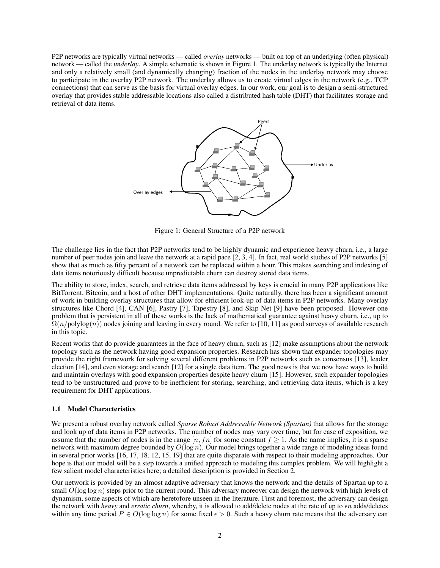P2P networks are typically virtual networks — called *overlay* networks — built on top of an underlying (often physical) network — called the *underlay*. A simple schematic is shown in Figure 1. The underlay network is typically the Internet and only a relatively small (and dynamically changing) fraction of the nodes in the underlay network may choose to participate in the overlay P2P network. The underlay allows us to create virtual edges in the network (e.g., TCP connections) that can serve as the basis for virtual overlay edges. In our work, our goal is to design a semi-structured overlay that provides stable addressable locations also called a distributed hash table (DHT) that facilitates storage and retrieval of data items.



Figure 1: General Structure of a P2P network

The challenge lies in the fact that P2P networks tend to be highly dynamic and experience heavy churn, i.e., a large number of peer nodes join and leave the network at a rapid pace [2, 3, 4]. In fact, real world studies of P2P networks [5] show that as much as fifty percent of a network can be replaced within a hour. This makes searching and indexing of data items notoriously difficult because unpredictable churn can destroy stored data items.

The ability to store, index, search, and retrieve data items addressed by keys is crucial in many P2P applications like BitTorrent, Bitcoin, and a host of other DHT implementations. Quite naturally, there has been a significant amount of work in building overlay structures that allow for efficient look-up of data items in P2P networks. Many overlay structures like Chord [4], CAN [6], Pastry [7], Tapestry [8], and Skip Net [9] have been proposed. However one problem that is persistent in all of these works is the lack of mathematical guarantee against heavy churn, i.e., up to  $\Omega(n/\text{polylog}(n))$  nodes joining and leaving in every round. We refer to [10, 11] as good surveys of available research in this topic.

Recent works that do provide guarantees in the face of heavy churn, such as [12] make assumptions about the network topology such as the network having good expansion properties. Research has shown that expander topologies may provide the right framework for solving several different problems in P2P networks such as consensus [13], leader election [14], and even storage and search [12] for a single data item. The good news is that we now have ways to build and maintain overlays with good expansion properties despite heavy churn [15]. However, such expander topologies tend to be unstructured and prove to be inefficient for storing, searching, and retrieving data items, which is a key requirement for DHT applications.

#### 1.1 Model Characteristics

We present a robust overlay network called *Sparse Robust Addressable Network (Spartan)* that allows for the storage and look up of data items in P2P networks. The number of nodes may vary over time, but for ease of exposition, we assume that the number of nodes is in the range [n, fn] for some constant  $f \ge 1$ . As the name implies, it is a sparse network with maximum degree bounded by  $O(\log n)$ . Our model brings together a wide range of modeling ideas found in several prior works [16, 17, 18, 12, 15, 19] that are quite disparate with respect to their modeling approaches. Our hope is that our model will be a step towards a unified approach to modeling this complex problem. We will highlight a few salient model characteristics here; a detailed description is provided in Section 2.

Our network is provided by an almost adaptive adversary that knows the network and the details of Spartan up to a small  $O(\log \log n)$  steps prior to the current round. This adversary moreover can design the network with high levels of dynamism, some aspects of which are heretofore unseen in the literature. First and foremost, the adversary can design the network with *heavy* and *erratic churn*, whereby, it is allowed to add/delete nodes at the rate of up to  $\epsilon n$  adds/deletes within any time period  $P \in O(\log \log n)$  for some fixed  $\epsilon > 0$ . Such a heavy churn rate means that the adversary can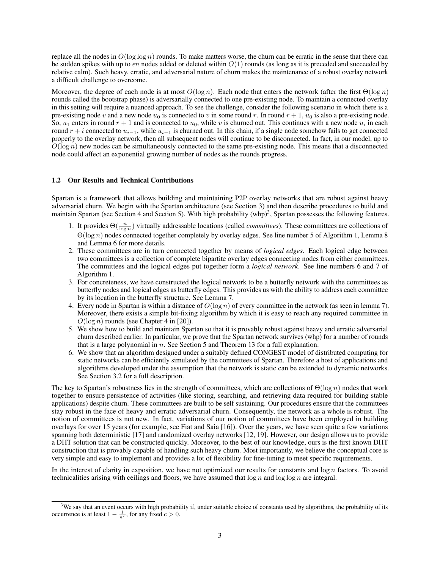replace all the nodes in  $O(\log \log n)$  rounds. To make matters worse, the churn can be erratic in the sense that there can be sudden spikes with up to  $\epsilon n$  nodes added or deleted within  $O(1)$  rounds (as long as it is preceded and succeeded by relative calm). Such heavy, erratic, and adversarial nature of churn makes the maintenance of a robust overlay network a difficult challenge to overcome.

Moreover, the degree of each node is at most  $O(\log n)$ . Each node that enters the network (after the first  $\Theta(\log n)$ ) rounds called the bootstrap phase) is adversarially connected to one pre-existing node. To maintain a connected overlay in this setting will require a nuanced approach. To see the challenge, consider the following scenario in which there is a pre-existing node v and a new node  $u_0$  is connected to v in some round r. In round  $r + 1$ ,  $u_0$  is also a pre-existing node. So,  $u_1$  enters in round  $r + 1$  and is connected to  $u_0$ , while v is churned out. This continues with a new node  $u_i$  in each round  $r + i$  connected to  $u_{i-1}$ , while  $u_{i-1}$  is churned out. In this chain, if a single node somehow fails to get connected properly to the overlay network, then all subsequent nodes will continue to be disconnected. In fact, in our model, up to  $O(\log n)$  new nodes can be simultaneously connected to the same pre-existing node. This means that a disconnected node could affect an exponential growing number of nodes as the rounds progress.

#### 1.2 Our Results and Technical Contributions

Spartan is a framework that allows building and maintaining P2P overlay networks that are robust against heavy adversarial churn. We begin with the Spartan architecture (see Section 3) and then describe procedures to build and maintain Spartan (see Section 4 and Section 5). With high probability (whp)<sup>3</sup>, Spartan possesses the following features.

- 1. It provides  $\Theta(\frac{n}{\log n})$  virtually addressable locations (called *committees*). These committees are collections of Θ(log n) nodes connected together completely by overlay edges. See line number 5 of Algorithm 1, Lemma 8 and Lemma 6 for more details.
- 2. These committees are in turn connected together by means of *logical edges*. Each logical edge between two committees is a collection of complete bipartite overlay edges connecting nodes from either committees. The committees and the logical edges put together form a *logical network*. See line numbers 6 and 7 of Algorithm 1.
- 3. For concreteness, we have constructed the logical network to be a butterfly network with the committees as butterfly nodes and logical edges as butterfly edges. This provides us with the ability to address each committee by its location in the butterfly structure. See Lemma 7.
- 4. Every node in Spartan is within a distance of  $O(\log n)$  of every committee in the network (as seen in lemma 7). Moreover, there exists a simple bit-fixing algorithm by which it is easy to reach any required committee in  $O(\log n)$  rounds (see Chapter 4 in [20]).
- 5. We show how to build and maintain Spartan so that it is provably robust against heavy and erratic adversarial churn described earlier. In particular, we prove that the Spartan network survives (whp) for a number of rounds that is a large polynomial in  $n$ . See Section 5 and Theorem 13 for a full explanation.
- 6. We show that an algorithm designed under a suitably defined CONGEST model of distributed computing for static networks can be efficiently simulated by the committees of Spartan. Therefore a host of applications and algorithms developed under the assumption that the network is static can be extended to dynamic networks. See Section 3.2 for a full description.

The key to Spartan's robustness lies in the strength of committees, which are collections of  $\Theta(\log n)$  nodes that work together to ensure persistence of activities (like storing, searching, and retrieving data required for building stable applications) despite churn. These committees are built to be self sustaining. Our procedures ensure that the committees stay robust in the face of heavy and erratic adversarial churn. Consequently, the network as a whole is robust. The notion of committees is not new. In fact, variations of our notion of committees have been employed in building overlays for over 15 years (for example, see Fiat and Saia [16]). Over the years, we have seen quite a few variations spanning both deterministic [17] and randomized overlay networks [12, 19]. However, our design allows us to provide a DHT solution that can be constructed quickly. Moreover, to the best of our knowledge, ours is the first known DHT construction that is provably capable of handling such heavy churn. Most importantly, we believe the conceptual core is very simple and easy to implement and provides a lot of flexibility for fine-tuning to meet specific requirements.

In the interest of clarity in exposition, we have not optimized our results for constants and  $\log n$  factors. To avoid technicalities arising with ceilings and floors, we have assumed that  $\log n$  and  $\log \log n$  are integral.

 $3W$ e say that an event occurs with high probability if, under suitable choice of constants used by algorithms, the probability of its occurrence is at least  $1 - \frac{1}{n^c}$ , for any fixed  $c > 0$ .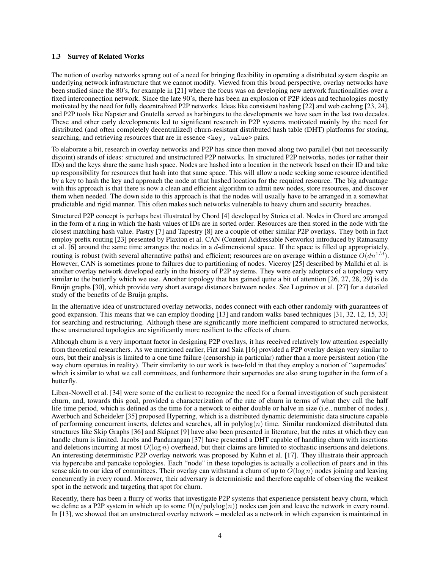#### 1.3 Survey of Related Works

The notion of overlay networks sprang out of a need for bringing flexibility in operating a distributed system despite an underlying network infrastructure that we cannot modify. Viewed from this broad perspective, overlay networks have been studied since the 80's, for example in [21] where the focus was on developing new network functionalities over a fixed interconnection network. Since the late 90's, there has been an explosion of P2P ideas and technologies mostly motivated by the need for fully decentralized P2P networks. Ideas like consistent hashing [22] and web caching [23, 24], and P2P tools like Napster and Gnutella served as harbingers to the developments we have seen in the last two decades. These and other early developments led to significant research in P2P systems motivated mainly by the need for distributed (and often completely decentralized) churn-resistant distributed hash table (DHT) platforms for storing, searching, and retrieving resources that are in essence <key, value> pairs.

To elaborate a bit, research in overlay networks and P2P has since then moved along two parallel (but not necessarily disjoint) strands of ideas: structured and unstructured P2P networks. In structured P2P networks, nodes (or rather their IDs) and the keys share the same hash space. Nodes are hashed into a location in the network based on their ID and take up responsibility for resources that hash into that same space. This will allow a node seeking some resource identified by a key to hash the key and approach the node at that hashed location for the required resource. The big advantage with this approach is that there is now a clean and efficient algorithm to admit new nodes, store resources, and discover them when needed. The down side to this approach is that the nodes will usually have to be arranged in a somewhat predictable and rigid manner. This often makes such networks vulnerable to heavy churn and security breaches.

Structured P2P concept is perhaps best illustrated by Chord [4] developed by Stoica et al. Nodes in Chord are arranged in the form of a ring in which the hash values of IDs are in sorted order. Resources are then stored in the node with the closest matching hash value. Pastry [7] and Tapestry [8] are a couple of other similar P2P overlays. They both in fact employ prefix routing [23] presented by Plaxton et al. CAN (Content Addressable Networks) introduced by Ratnasamy et al. [6] around the same time arranges the nodes in a d-dimensional space. If the space is filled up appropriately, routing is robust (with several alternative paths) and efficient; resources are on average within a distance  $O(dn^{1/d})$ . However, CAN is sometimes prone to failures due to partitioning of nodes. Viceroy [25] described by Malkhi et al. is another overlay network developed early in the history of P2P systems. They were early adopters of a topology very similar to the butterfly which we use. Another topology that has gained quite a bit of attention [26, 27, 28, 29] is de Bruijn graphs [30], which provide very short average distances between nodes. See Loguinov et al. [27] for a detailed study of the benefits of de Bruijn graphs.

In the alternative idea of unstructured overlay networks, nodes connect with each other randomly with guarantees of good expansion. This means that we can employ flooding [13] and random walks based techniques [31, 32, 12, 15, 33] for searching and restructuring. Although these are significantly more inefficient compared to structured networks, these unstructured topologies are significantly more resilient to the effects of churn.

Although churn is a very important factor in designing P2P overlays, it has received relatively low attention especially from theoretical researchers. As we mentioned earlier, Fiat and Saia [16] provided a P2P overlay design very similar to ours, but their analysis is limited to a one time failure (censorship in particular) rather than a more persistent notion (the way churn operates in reality). Their similarity to our work is two-fold in that they employ a notion of "supernodes" which is similar to what we call committees, and furthermore their supernodes are also strung together in the form of a butterfly.

Liben-Nowell et al. [34] were some of the earliest to recognize the need for a formal investigation of such persistent churn, and, towards this goal, provided a characterization of the rate of churn in terms of what they call the half life time period, which is defined as the time for a network to either double or halve in size (i.e., number of nodes.). Awerbuch and Scheideler [35] proposed Hyperring, which is a distributed dynamic deterministic data structure capable of performing concurrent inserts, deletes and searches, all in  $\text{polylog}(n)$  time. Similar randomized distributed data structures like Skip Graphs [36] and Skipnet [9] have also been presented in literature, but the rates at which they can handle churn is limited. Jacobs and Pandurangan [37] have presented a DHT capable of handling churn with insertions and deletions incurring at most  $O(\log n)$  overhead, but their claims are limited to stochastic insertions and deletions. An interesting deterministic P2P overlay network was proposed by Kuhn et al. [17]. They illustrate their approach via hypercube and pancake topologies. Each "node" in these topologies is actually a collection of peers and in this sense akin to our idea of committees. Their overlay can withstand a churn of up to  $O(\log n)$  nodes joining and leaving concurrently in every round. Moreover, their adversary is deterministic and therefore capable of observing the weakest spot in the network and targeting that spot for churn.

Recently, there has been a flurry of works that investigate P2P systems that experience persistent heavy churn, which we define as a P2P system in which up to some  $\Omega(n/\text{polylog}(n))$  nodes can join and leave the network in every round. In [13], we showed that an unstructured overlay network – modeled as a network in which expansion is maintained in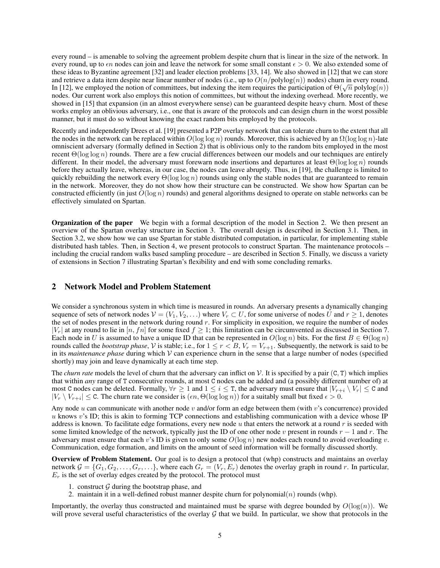every round – is amenable to solving the agreement problem despite churn that is linear in the size of the network. In every round, up to  $\epsilon n$  nodes can join and leave the network for some small constant  $\epsilon > 0$ . We also extended some of these ideas to Byzantine agreement [32] and leader election problems [33, 14]. We also showed in [12] that we can store and retrieve a data item despite near linear number of nodes (i.e., up to  $O(n/\text{polylog}(n))$  nodes) churn in every round. In [12], we employed the notion of committees, but indexing the item requires the participation of  $\Theta(\sqrt{n} \text{ polylog}(n))$ nodes. Our current work also employs this notion of committees, but without the indexing overhead. More recently, we showed in [15] that expansion (in an almost everywhere sense) can be guaranteed despite heavy churn. Most of these works employ an oblivious adversary, i.e., one that is aware of the protocols and can design churn in the worst possible manner, but it must do so without knowing the exact random bits employed by the protocols.

Recently and independently Drees et al. [19] presented a P2P overlay network that can tolerate churn to the extent that all the nodes in the network can be replaced within  $O(\log \log n)$  rounds. Moreover, this is achieved by an  $\Omega(\log \log n)$ -late omniscient adversary (formally defined in Section 2) that is oblivious only to the random bits employed in the most recent  $\Theta(\log \log n)$  rounds. There are a few crucial differences between our models and our techniques are entirely different. In their model, the adversary must forewarn node insertions and departures at least  $\Theta(\log \log n)$  rounds before they actually leave, whereas, in our case, the nodes can leave abruptly. Thus, in [19], the challenge is limited to quickly rebuilding the network every  $\Theta(\log \log n)$  rounds using only the stable nodes that are guaranteed to remain in the network. Moreover, they do not show how their structure can be constructed. We show how Spartan can be constructed efficiently (in just  $O(\log n)$  rounds) and general algorithms designed to operate on stable networks can be effectively simulated on Spartan.

Organization of the paper We begin with a formal description of the model in Section 2. We then present an overview of the Spartan overlay structure in Section 3. The overall design is described in Section 3.1. Then, in Section 3.2, we show how we can use Spartan for stable distributed computation, in particular, for implementing stable distributed hash tables. Then, in Section 4, we present protocols to construct Spartan. The maintenance protocols – including the crucial random walks based sampling procedure – are described in Section 5. Finally, we discuss a variety of extensions in Section 7 illustrating Spartan's flexibility and end with some concluding remarks.

## 2 Network Model and Problem Statement

We consider a synchronous system in which time is measured in rounds. An adversary presents a dynamically changing sequence of sets of network nodes  $V = (V_1, V_2, \ldots)$  where  $V_r \subset U$ , for some universe of nodes U and  $r \geq 1$ , denotes the set of nodes present in the network during round  $r$ . For simplicity in exposition, we require the number of nodes  $|V_r|$  at any round to lie in  $[n, fn]$  for some fixed  $f \geq 1$ ; this limitation can be circumvented as discussed in Section 7. Each node in U is assumed to have a unique ID that can be represented in  $O(\log n)$  bits. For the first  $B \in \Theta(\log n)$ rounds called the *bootstrap phase*, V is stable; i.e., for  $1 \le r < B$ ,  $V_r = V_{r+1}$ . Subsequently, the network is said to be in its *maintenance phase* during which V can experience churn in the sense that a large number of nodes (specified shortly) may join and leave dynamically at each time step.

The *churn rate* models the level of churn that the adversary can inflict on  $V$ . It is specified by a pair  $(C, T)$  which implies that within *any* range of T consecutive rounds, at most C nodes can be added and (a possibly different number of) at most C nodes can be deleted. Formally,  $\forall r \geq 1$  and  $1 \leq i \leq T$ , the adversary must ensure that  $|V_{r+i} \setminus V_r| \leq C$  and  $|V_r \setminus V_{r+i}| \leq C$ . The churn rate we consider is  $(\epsilon n, \Theta(\log \log n))$  for a suitably small but fixed  $\epsilon > 0$ .

Any node u can communicate with another node v and/or form an edge between them (with v's concurrence) provided u knows v's ID; this is akin to forming TCP connections and establishing communication with a device whose IP address is known. To facilitate edge formations, every new node u that enters the network at a round  $r$  is seeded with some limited knowledge of the network, typically just the ID of one other node v present in rounds  $r - 1$  and r. The adversary must ensure that each v's ID is given to only some  $O(\log n)$  new nodes each round to avoid overloading v. Communication, edge formation, and limits on the amount of seed information will be formally discussed shortly.

Overview of Problem Statement. Our goal is to design a protocol that (whp) constructs and maintains an overlay network  $G = \{G_1, G_2, \ldots, G_r, \ldots\}$ , where each  $G_r = (V_r, E_r)$  denotes the overlay graph in round r. In particular,  $E_r$  is the set of overlay edges created by the protocol. The protocol must

- 1. construct  $\mathcal G$  during the bootstrap phase, and
- 2. maintain it in a well-defined robust manner despite churn for polynomial $(n)$  rounds (whp).

Importantly, the overlay thus constructed and maintained must be sparse with degree bounded by  $O(\log(n))$ . We will prove several useful characteristics of the overlay  $G$  that we build. In particular, we show that protocols in the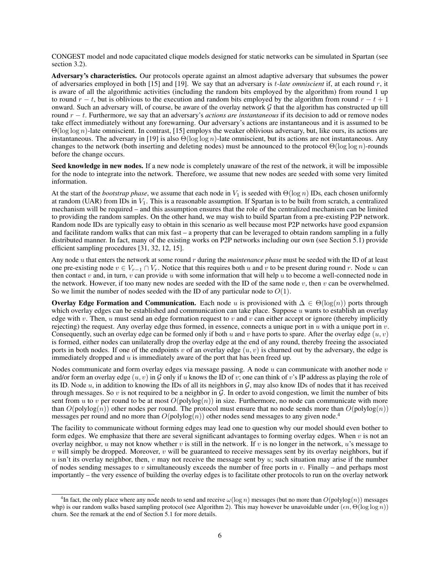CONGEST model and node capacitated clique models designed for static networks can be simulated in Spartan (see section 3.2).

Adversary's characteristics. Our protocols operate against an almost adaptive adversary that subsumes the power of adversaries employed in both [15] and [19]. We say that an adversary is t*-late omniscient* if, at each round r, it is aware of all the algorithmic activities (including the random bits employed by the algorithm) from round 1 up to round  $r - t$ , but is oblivious to the execution and random bits employed by the algorithm from round  $r - t + 1$ onward. Such an adversary will, of course, be aware of the overlay network  $\mathcal G$  that the algorithm has constructed up till round r − t. Furthermore, we say that an adversary's *actions are instantaneous* if its decision to add or remove nodes take effect immediately without any forewarning. Our adversary's actions are instantaneous and it is assumed to be  $\Theta(\log \log n)$ -late omniscient. In contrast, [15] employs the weaker oblivious adversary, but, like ours, its actions are instantaneous. The adversary in [19] is also  $\Theta(\log \log n)$ -late omniscient, but its actions are not instantaneous. Any changes to the network (both inserting and deleting nodes) must be announced to the protocol  $\Theta(\log \log n)$ -rounds before the change occurs.

Seed knowledge in new nodes. If a new node is completely unaware of the rest of the network, it will be impossible for the node to integrate into the network. Therefore, we assume that new nodes are seeded with some very limited information.

At the start of the *bootstrap phase*, we assume that each node in  $V_1$  is seeded with  $\Theta(\log n)$  IDs, each chosen uniformly at random (UAR) from IDs in  $V_1$ . This is a reasonable assumption. If Spartan is to be built from scratch, a centralized mechanism will be required – and this assumption ensures that the role of the centralized mechanism can be limited to providing the random samples. On the other hand, we may wish to build Spartan from a pre-existing P2P network. Random node IDs are typically easy to obtain in this scenario as well because most P2P networks have good expansion and facilitate random walks that can mix fast – a property that can be leveraged to obtain random sampling in a fully distributed manner. In fact, many of the existing works on P2P networks including our own (see Section 5.1) provide efficient sampling procedures [31, 32, 12, 15].

Any node u that enters the network at some round r during the *maintenance phase* must be seeded with the ID of at least one pre-existing node  $v \in V_{r-1} \cap V_r$ . Notice that this requires both u and v to be present during round r. Node u can then contact v and, in turn, v can provide u with some information that will help u to become a well-connected node in the network. However, if too many new nodes are seeded with the ID of the same node  $v$ , then  $v$  can be overwhelmed. So we limit the number of nodes seeded with the ID of any particular node to  $O(1)$ .

Overlay Edge Formation and Communication. Each node u is provisioned with  $\Delta \in \Theta(\log(n))$  ports through which overlay edges can be established and communication can take place. Suppose  $u$  wants to establish an overlay edge with v. Then, u must send an edge formation request to v and v can either accept or ignore (thereby implicitly rejecting) the request. Any overlay edge thus formed, in essence, connects a unique port in  $u$  with a unique port in  $v$ . Consequently, such an overlay edge can be formed only if both u and v have ports to spare. After the overlay edge  $(u, v)$ is formed, either nodes can unilaterally drop the overlay edge at the end of any round, thereby freeing the associated ports in both nodes. If one of the endpoints v of an overlay edge  $(u, v)$  is churned out by the adversary, the edge is immediately dropped and  $u$  is immediately aware of the port that has been freed up.

Nodes communicate and form overlay edges via message passing. A node  $u$  can communicate with another node  $v$ and/or form an overlay edge  $(u, v)$  in G only if u knows the ID of v; one can think of v's IP address as playing the role of its ID. Node  $u$ , in addition to knowing the IDs of all its neighbors in  $\mathcal G$ , may also know IDs of nodes that it has received through messages. So v is not required to be a neighbor in  $\mathcal G$ . In order to avoid congestion, we limit the number of bits sent from u to v per round to be at most  $O(polylog(n))$  in size. Furthermore, no node can communicate with more than  $O(polylog(n))$  other nodes per round. The protocol must ensure that no node sends more than  $O(polylog(n))$ messages per round and no more than  $O(polylog(n))$  other nodes send messages to any given node.<sup>4</sup>

The facility to communicate without forming edges may lead one to question why our model should even bother to form edges. We emphasize that there are several significant advantages to forming overlay edges. When  $v$  is not an overlay neighbor, u may not know whether v is still in the network. If v is no longer in the network, u's message to  $v$  will simply be dropped. Moreover,  $v$  will be guaranteed to receive messages sent by its overlay neighbors, but if u isn't its overlay neighbor, then,  $v$  may not receive the message sent by  $u$ ; such situation may arise if the number of nodes sending messages to v simultaneously exceeds the number of free ports in v. Finally – and perhaps most importantly – the very essence of building the overlay edges is to facilitate other protocols to run on the overlay network

<sup>&</sup>lt;sup>4</sup>In fact, the only place where any node needs to send and receive  $\omega(\log n)$  messages (but no more than  $O(polylog(n))$  messages whp) is our random walks based sampling protocol (see Algorithm 2). This may however be unavoidable under  $(\epsilon n, \Theta(\log \log n))$ churn. See the remark at the end of Section 5.1 for more details.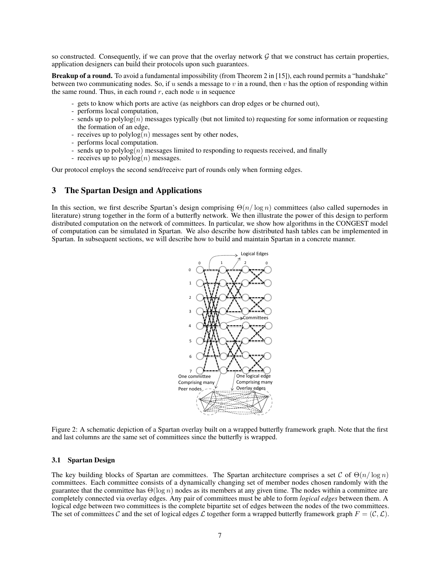so constructed. Consequently, if we can prove that the overlay network  $G$  that we construct has certain properties, application designers can build their protocols upon such guarantees.

Breakup of a round. To avoid a fundamental impossibility (from Theorem 2 in [15]), each round permits a "handshake" between two communicating nodes. So, if u sends a message to v in a round, then v has the option of responding within the same round. Thus, in each round  $r$ , each node  $u$  in sequence

- gets to know which ports are active (as neighbors can drop edges or be churned out),
- performs local computation,
- sends up to polylog $(n)$  messages typically (but not limited to) requesting for some information or requesting the formation of an edge,
- receives up to polylog $(n)$  messages sent by other nodes,
- performs local computation.
- sends up to polylog $(n)$  messages limited to responding to requests received, and finally
- receives up to  $polylog(n)$  messages.

Our protocol employs the second send/receive part of rounds only when forming edges.

## 3 The Spartan Design and Applications

In this section, we first describe Spartan's design comprising  $\Theta(n/\log n)$  committees (also called supernodes in literature) strung together in the form of a butterfly network. We then illustrate the power of this design to perform distributed computation on the network of committees. In particular, we show how algorithms in the CONGEST model of computation can be simulated in Spartan. We also describe how distributed hash tables can be implemented in Spartan. In subsequent sections, we will describe how to build and maintain Spartan in a concrete manner.



Figure 2: A schematic depiction of a Spartan overlay built on a wrapped butterfly framework graph. Note that the first and last columns are the same set of committees since the butterfly is wrapped.

#### 3.1 Spartan Design

The key building blocks of Spartan are committees. The Spartan architecture comprises a set C of  $\Theta(n/\log n)$ committees. Each committee consists of a dynamically changing set of member nodes chosen randomly with the guarantee that the committee has  $\Theta(\log n)$  nodes as its members at any given time. The nodes within a committee are completely connected via overlay edges. Any pair of committees must be able to form *logical edges* between them. A logical edge between two committees is the complete bipartite set of edges between the nodes of the two committees. The set of committees C and the set of logical edges L together form a wrapped butterfly framework graph  $F = (\mathcal{C}, \mathcal{L})$ .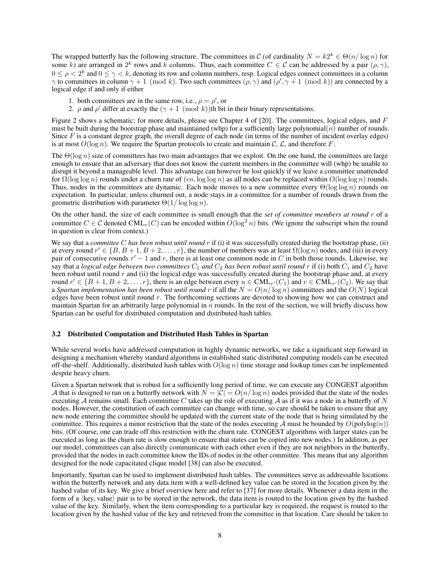The wrapped butterfly has the following structure. The committees in C (of cardinality  $N = k2^k \in \Theta(n/\log n)$  for some k) are arranged in  $2^k$  rows and k columns. Thus, each committee  $C \in \mathcal{C}$  can be addressed by a pair  $(\rho, \gamma)$ ,  $0 \le \rho < 2^k$  and  $0 \le \gamma < k$ , denoting its row and column numbers, resp. Logical edges connect committees in a column  $\gamma$  to committees in column  $\gamma + 1 \pmod{k}$ . Two such committees  $(\rho, \gamma)$  and  $(\rho', \gamma + 1 \pmod{k}$  are connected by a logical edge if and only if either

- 1. both committees are in the same row, i.e.,  $\rho = \rho'$ , or
- 2.  $\rho$  and  $\rho'$  differ at exactly the  $(\gamma + 1 \pmod{k})$ th bit in their binary representations.

Figure 2 shows a schematic; for more details, please see Chapter 4 of [20]. The committees, logical edges, and  $F$ must be built during the bootstrap phase and maintained (whp) for a sufficiently large polynomial(n) number of rounds. Since  $F$  is a constant degree graph, the overall degree of each node (in terms of the number of incident overlay edges) is at most  $O(\log n)$ . We require the Spartan protocols to create and maintain C, L, and therefore F.

The  $\Theta(\log n)$  size of committees has two main advantages that we exploit. On the one hand, the committees are large enough to ensure that an adversary that does not know the current members in the committee will (whp) be unable to disrupt it beyond a manageable level. This advantage can however be lost quickly if we leave a committee unattended for  $\Omega(\log \log n)$  rounds under a churn rate of  $(\epsilon n, \log \log n)$  as all nodes can be replaced within  $O(\log \log n)$  rounds. Thus, nodes in the committees are dynamic. Each node moves to a new committee every  $\Theta(\log \log n)$  rounds on expectation. In particular, unless churned out, a node stays in a committee for a number of rounds drawn from the geometric distribution with parameter  $\Theta(1/\log \log n)$ .

On the other hand, the size of each committee is small enough that the *set of committee members at round* r of a committee  $C \in \mathcal{C}$  denoted  $\text{CML}_r(C)$  can be encoded within  $O(\log^2 n)$  bits. (We ignore the subscript when the round in question is clear from context.)

We say that a *committee* C has been robust until round r if (i) it was successfully created during the bootstrap phase, (ii) at every round  $r' \in \{B, B + 1, B + 2, \ldots, r\}$ , the number of members was at least  $\Omega(\log n)$  nodes, and (iii) in every pair of consecutive rounds  $r' - 1$  and r, there is at least one common node in C in both those rounds. Likewise, we say that a *logical edge between two committees*  $C_1$  *and*  $C_2$  *has been robust until round* r if (i) both  $C_1$  and  $C_2$  have been robust until round  $r$  and (ii) the logical edge was successfully created during the bootstrap phase and, at every round  $r' \in \{B+1, B+2, \ldots, r\}$ , there is an edge between every  $u \in \text{CML}_{r'}(C_1)$  and  $v \in \text{CML}_{r'}(C_2)$ . We say that a *Spartan implementation has been robust until round* r if all the  $N = O(n/\log n)$  committees and the  $O(N)$  logical edges have been robust until round  $r$ . The forthcoming sections are devoted to showing how we can construct and maintain Spartan for an arbitrarily large polynomial in  $n$  rounds. In the rest of the section, we will briefly discuss how Spartan can be useful for distributed computation and distributed hash tables.

#### 3.2 Distributed Computation and Distributed Hash Tables in Spartan

While several works have addressed computation in highly dynamic networks, we take a significant step forward in designing a mechanism whereby standard algorithms in established static distributed computing models can be executed off-the-shelf. Additionally, distributed hash tables with  $O(\log n)$  time storage and lookup times can be implemented despite heavy churn.

Given a Spartan network that is robust for a sufficiently long period of time, we can execute any CONGEST algorithm A that is designed to run on a butterfly network with  $N = |\mathcal{C}| = O(n/\log n)$  nodes provided that the state of the nodes executing A remains small. Each committee C takes up the role of executing A as if it was a node in a butterfly of N nodes. However, the constitution of each committee can change with time, so care should be taken to ensure that any new node entering the committee should be updated with the current state of the node that is being simulated by the committee. This requires a minor restriction that the state of the nodes executing A must be bounded by  $O(polylog(n))$ bits. (Of course, one can trade off this restriction with the churn rate. CONGEST algorithms with larger states can be executed as long as the churn rate is slow enough to ensure that states can be copied into new nodes.) In addition, as per our model, committees can also directly communicate with each other even if they are not neighbors in the butterfly, provided that the nodes in each committee know the IDs of nodes in the other committee. This means that any algorithm designed for the node capacitated clique model [38] can also be executed.

Importantly, Spartan can be used to implement distributed hash tables. The committees serve as addressable locations within the butterfly network and any data item with a well-defined key value can be stored in the location given by the hashed value of its key. We give a brief overview here and refer to [37] for more details. Whenever a data item in the form of a  $\langle \text{key}, \text{value} \rangle$  pair is to be stored in the network, the data item is routed to the location given by the hashed value of the key. Similarly, when the item corresponding to a particular key is required, the request is routed to the location given by the hashed value of the key and retrieved from the committee in that location. Care should be taken to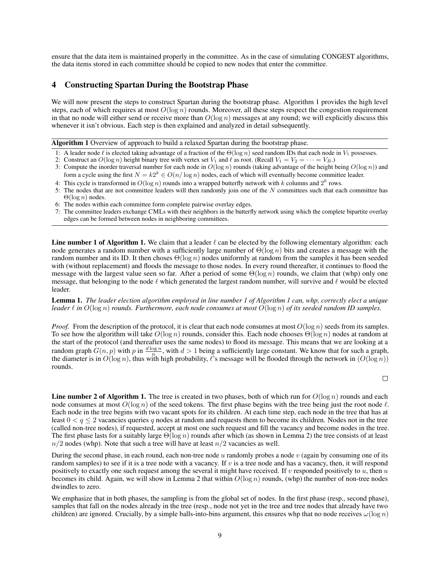ensure that the data item is maintained properly in the committee. As in the case of simulating CONGEST algorithms, the data items stored in each committee should be copied to new nodes that enter the committee.

## 4 Constructing Spartan During the Bootstrap Phase

We will now present the steps to construct Spartan during the bootstrap phase. Algorithm 1 provides the high level steps, each of which requires at most  $O(\log n)$  rounds. Moreover, all these steps respect the congestion requirement in that no node will either send or receive more than  $O(\log n)$  messages at any round; we will explicitly discuss this whenever it isn't obvious. Each step is then explained and analyzed in detail subsequently.

Algorithm 1 Overview of approach to build a relaxed Spartan during the bootstrap phase.

- 1: A leader node  $\ell$  is elected taking advantage of a fraction of the  $\Theta(\log n)$  seed random IDs that each node in  $V_1$  possesses.
- 2: Construct an  $O(\log n)$  height binary tree with vertex set  $V_1$  and  $\ell$  as root. (Recall  $V_1 = V_2 = \cdots = V_B$ .)
- 3: Compute the inorder traversal number for each node in  $O(\log n)$  rounds (taking advantage of the height being  $O(\log n)$ ) and form a cycle using the first  $N = k2^k \in O(n/\log n)$  nodes, each of which will eventually become committee leader.
- 4: This cycle is transformed in  $O(\log n)$  rounds into a wrapped butterfly network with k columns and  $2^k$  rows.
- 5: The nodes that are not committee leaders will then randomly join one of the  $N$  committees such that each committee has  $\Theta(\log n)$  nodes.
- 6: The nodes within each committee form complete pairwise overlay edges.
- 7: The committee leaders exchange CMLs with their neighbors in the butterfly network using which the complete bipartite overlay edges can be formed between nodes in neighboring committees.

**Line number 1 of Algorithm 1.** We claim that a leader  $\ell$  can be elected by the following elementary algorithm: each node generates a random number with a sufficiently large number of  $\Theta(\log n)$  bits and creates a message with the random number and its ID. It then choses  $\Theta(\log n)$  nodes uniformly at random from the samples it has been seeded with (without replacement) and floods the message to those nodes. In every round thereafter, it continues to flood the message with the largest value seen so far. After a period of some  $\Theta(\log n)$  rounds, we claim that (whp) only one message, that belonging to the node  $\ell$  which generated the largest random number, will survive and  $\ell$  would be elected leader.

Lemma 1. *The leader election algorithm employed in line number 1 of Algorithm 1 can, whp, correctly elect a unique leader* ℓ *in* O(log n) *rounds. Furthermore, each node consumes at most* O(log n) *of its seeded random ID samples.*

*Proof.* From the description of the protocol, it is clear that each node consumes at most  $O(\log n)$  seeds from its samples. To see how the algorithm will take  $O(\log n)$  rounds, consider this. Each node chooses  $\Theta(\log n)$  nodes at random at the start of the protocol (and thereafter uses the same nodes) to flood its message. This means that we are looking at a random graph  $G(n, p)$  with  $p$  in  $\frac{d \log n}{n}$ , with  $d > 1$  being a sufficiently large constant. We know that for such a graph, the diameter is in  $O(\log n)$ , thus with high probability,  $\ell$ 's message will be flooded through the network in  $(O(\log n))$ rounds.

 $\Box$ 

**Line number 2 of Algorithm 1.** The tree is created in two phases, both of which run for  $O(\log n)$  rounds and each node consumes at most  $O(\log n)$  of the seed tokens. The first phase begins with the tree being just the root node  $\ell$ . Each node in the tree begins with two vacant spots for its children. At each time step, each node in the tree that has at least  $0 < q < 2$  vacancies queries q nodes at random and requests them to become its children. Nodes not in the tree (called non-tree nodes), if requested, accept at most one such request and fill the vacancy and become nodes in the tree. The first phase lasts for a suitably large  $\Theta(\log n)$  rounds after which (as shown in Lemma 2) the tree consists of at least  $n/2$  nodes (whp). Note that such a tree will have at least  $n/2$  vacancies as well.

During the second phase, in each round, each non-tree node  $u$  randomly probes a node  $v$  (again by consuming one of its random samples) to see if it is a tree node with a vacancy. If v is a tree node and has a vacancy, then, it will respond positively to exactly one such request among the several it might have received. If v responded positively to  $u$ , then  $u$ becomes its child. Again, we will show in Lemma 2 that within  $O(\log n)$  rounds, (whp) the number of non-tree nodes dwindles to zero.

We emphasize that in both phases, the sampling is from the global set of nodes. In the first phase (resp., second phase), samples that fall on the nodes already in the tree (resp., node not yet in the tree and tree nodes that already have two children) are ignored. Crucially, by a simple balls-into-bins argument, this ensures whp that no node receives  $\omega(\log n)$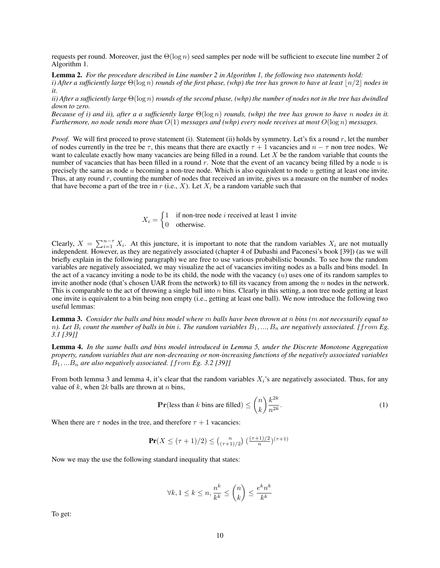requests per round. Moreover, just the  $\Theta(\log n)$  seed samples per node will be sufficient to execute line number 2 of Algorithm 1.

Lemma 2. *For the procedure described in Line number 2 in Algorithm 1, the following two statements hold: i)* After a sufficiently large  $\Theta(\log n)$  *rounds of the first phase, (whp) the tree has grown to have at least*  $|n/2|$  *nodes in it.*

*ii) After a sufficiently large* Θ(log n) *rounds of the second phase, (whp) the number of nodes not in the tree has dwindled down to zero.*

*Because of i) and ii), after a a sufficiently large* Θ(log n) *rounds, (whp) the tree has grown to have* n *nodes in it. Furthermore, no node sends more than* O(1) *messages and (whp) every node receives at most* O(log n) *messages.*

*Proof.* We will first proceed to prove statement (i). Statement (ii) holds by symmetry. Let's fix a round r, let the number of nodes currently in the tree be  $\tau$ , this means that there are exactly  $\tau + 1$  vacancies and  $n - \tau$  non tree nodes. We want to calculate exactly how many vacancies are being filled in a round. Let  $X$  be the random variable that counts the number of vacancies that has been filled in a round r. Note that the event of an vacancy being filled by a node  $u$  is precisely the same as node  $u$  becoming a non-tree node. Which is also equivalent to node  $u$  getting at least one invite. Thus, at any round  $r$ , counting the number of nodes that received an invite, gives us a measure on the number of nodes that have become a part of the tree in r (i.e., X). Let  $X_i$  be a random variable such that

> $X_i = \begin{cases} 1 & \text{if non-tree node } i \text{ received at least 1 invite} \\ 0 & \text{otherwise} \end{cases}$ 0 otherwise.

Clearly,  $X = \sum_{i=1}^{n-\tau} X_i$ . At this juncture, it is important to note that the random variables  $X_i$  are not mutually independent. However, as they are negatively associated (chapter 4 of Dubashi and Paconesi's book [39]) (as we will briefly explain in the following paragraph) we are free to use various probabilistic bounds. To see how the random variables are negatively associated, we may visualize the act of vacancies inviting nodes as a balls and bins model. In the act of a vacancy inviting a node to be its child, the node with the vacancy  $(u)$  uses one of its random samples to invite another node (that's chosen UAR from the network) to fill its vacancy from among the  $n$  nodes in the network. This is comparable to the act of throwing a single ball into  $n$  bins. Clearly in this setting, a non tree node getting at least one invite is equivalent to a bin being non empty (i.e., getting at least one ball). We now introduce the following two useful lemmas:

Lemma 3. *Consider the balls and bins model where* m *balls have been thrown at* n *bins (*m *not necessarily equal to* n). Let  $B_i$  count the number of balls in bin i. The random variables  $B_1, ..., B_n$  are negatively associated. [from Eg. *3.1 [39]]*

Lemma 4. *In the same balls and bins model introduced in Lemma 5, under the Discrete Monotone Aggregation property, random variables that are non-decreasing or non-increasing functions of the negatively associated variables* B1, ...B<sup>n</sup> *are also negatively associated. [*from *Eg. 3.2 [39]]*

From both lemma 3 and lemma 4, it's clear that the random variables  $X_i$ 's are negatively associated. Thus, for any value of  $k$ , when  $2k$  balls are thrown at  $n$  bins,

$$
\mathbf{Pr}(\text{less than } k \text{ bins are filled}) \le \binom{n}{k} \frac{k^{2k}}{n^{2k}}.\tag{1}
$$

When there are  $\tau$  nodes in the tree, and therefore  $\tau + 1$  vacancies:

$$
\Pr(X \le (\tau + 1)/2) \le {n \choose (\tau + 1)/2} \left(\frac{(\tau + 1)/2}{n}\right)^{(\tau + 1)}
$$

Now we may the use the following standard inequality that states:

$$
\forall k, 1 \le k \le n, \frac{n^k}{k^k} \le \binom{n}{k} \le \frac{e^k n^k}{k^k}
$$

To get: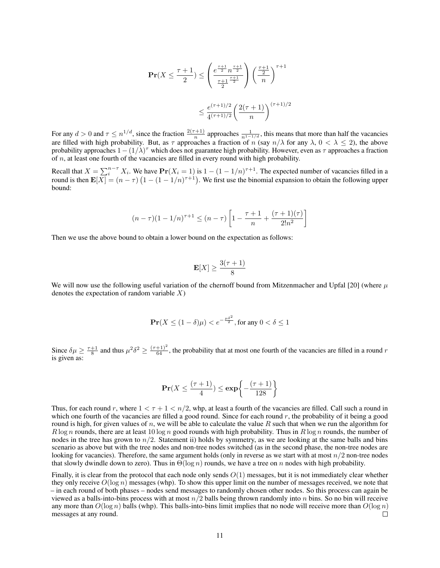$$
\mathbf{Pr}(X \le \frac{\tau+1}{2}) \le \left(\frac{e^{\frac{\tau+1}{2}} n^{\frac{\tau+1}{2}}}{\frac{\tau+1}{2}}\right) \left(\frac{\frac{\tau+1}{2}}{n}\right)^{\tau+1}
$$

$$
\le \frac{e^{(\tau+1)/2}}{4^{(\tau+1)/2}} \left(\frac{2(\tau+1)}{n}\right)^{(\tau+1)/2}
$$

For any  $d > 0$  and  $\tau \leq n^{1/d}$ , since the fraction  $\frac{2(\tau+1)}{n}$  approaches  $\frac{1}{n^{1-1/d}}$ , this means that more than half the vacancies are filled with high probability. But, as  $\tau$  approaches a fraction of n (say  $n/\lambda$  for any  $\lambda$ ,  $0 < \lambda \le 2$ ), the above probability approaches  $1-(1/\lambda)^\tau$  which does not guarantee high probability. However, even as  $\tau$  approaches a fraction of n, at least one fourth of the vacancies are filled in every round with high probability.

Recall that  $X = \sum_{i=1}^{n-r} X_i$ . We have  $\Pr(X_i = 1)$  is  $1 - (1 - 1/n)^{\tau+1}$ . The expected number of vacancies filled in a round is then  $\mathbf{E}[X] = (n - \tau) (1 - (1 - 1/n)^{\tau+1})$ . We first use the binomial expansion to obtain the following upper bound:

$$
(n-\tau)(1-1/n)^{\tau+1} \le (n-\tau) \left[ 1 - \frac{\tau+1}{n} + \frac{(\tau+1)(\tau)}{2!n^2} \right]
$$

Then we use the above bound to obtain a lower bound on the expectation as follows:

$$
\mathbf{E}[X] \ge \frac{3(\tau+1)}{8}
$$

We will now use the following useful variation of the chernoff bound from Mitzenmacher and Upfal [20] (where  $\mu$ denotes the expectation of random variable  $X$ )

$$
\mathbf{Pr}(X \le (1 - \delta)\mu) < e^{-\frac{\mu \delta^2}{2}}, \text{for any } 0 < \delta \le 1
$$

Since  $\delta \mu \ge \frac{\tau+1}{8}$  and thus  $\mu^2 \delta^2 \ge \frac{(\tau+1)^2}{64}$ , the probability that at most one fourth of the vacancies are filled in a round r is given as:

$$
\mathbf{Pr}(X \le \frac{(\tau+1)}{4}) \le \exp\left\{-\frac{(\tau+1)}{128}\right\}
$$

Thus, for each round r, where  $1 < \tau + 1 < n/2$ , whp, at least a fourth of the vacancies are filled. Call such a round in which one fourth of the vacancies are filled a good round. Since for each round  $r$ , the probability of it being a good round is high, for given values of n, we will be able to calculate the value R such that when we run the algorithm for  $R \log n$  rounds, there are at least 10 log n good rounds with high probability. Thus in  $R \log n$  rounds, the number of nodes in the tree has grown to  $n/2$ . Statement ii) holds by symmetry, as we are looking at the same balls and bins scenario as above but with the tree nodes and non-tree nodes switched (as in the second phase, the non-tree nodes are looking for vacancies). Therefore, the same argument holds (only in reverse as we start with at most  $n/2$  non-tree nodes that slowly dwindle down to zero). Thus in  $\Theta(\log n)$  rounds, we have a tree on n nodes with high probability.

Finally, it is clear from the protocol that each node only sends  $O(1)$  messages, but it is not immediately clear whether they only receive  $O(\log n)$  messages (whp). To show this upper limit on the number of messages received, we note that – in each round of both phases – nodes send messages to randomly chosen other nodes. So this process can again be viewed as a balls-into-bins process with at most  $n/2$  balls being thrown randomly into n bins. So no bin will receive any more than  $O(\log n)$  balls (whp). This balls-into-bins limit implies that no node will receive more than  $O(\log n)$ messages at any round.  $\Box$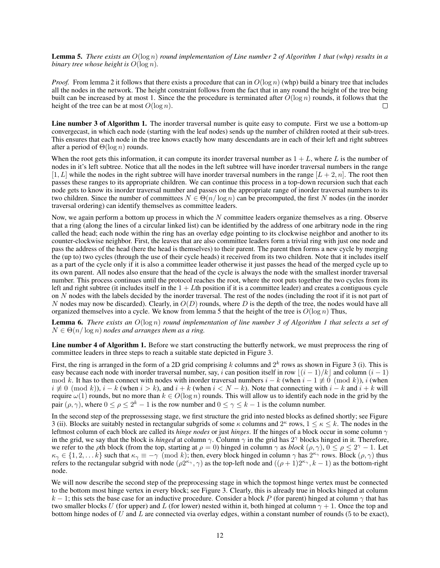Lemma 5. *There exists an* O(log n) *round implementation of Line number 2 of Algorithm 1 that (whp) results in a binary tree whose height is* O(log n)*.*

*Proof.* From lemma 2 it follows that there exists a procedure that can in  $O(\log n)$  (whp) build a binary tree that includes all the nodes in the network. The height constraint follows from the fact that in any round the height of the tree being built can be increased by at most 1. Since the the procedure is terminated after  $O(\log n)$  rounds, it follows that the height of the tree can be at most  $O(\log n)$ .  $\Box$ 

Line number 3 of Algorithm 1. The inorder traversal number is quite easy to compute. First we use a bottom-up convergecast, in which each node (starting with the leaf nodes) sends up the number of children rooted at their sub-trees. This ensures that each node in the tree knows exactly how many descendants are in each of their left and right subtrees after a period of  $\Theta(\log n)$  rounds.

When the root gets this information, it can compute its inorder traversal number as  $1 + L$ , where L is the number of nodes in it's left subtree. Notice that all the nodes in the left subtree will have inorder traversal numbers in the range  $[1, L]$  while the nodes in the right subtree will have inorder traversal numbers in the range  $[L + 2, n]$ . The root then passes these ranges to its appropriate children. We can continue this process in a top-down recursion such that each node gets to know its inorder traversal number and passes on the appropriate range of inorder traversal numbers to its two children. Since the number of committees  $N \in \Theta(n/\log n)$  can be precomputed, the first N nodes (in the inorder traversal ordering) can identify themselves as committee leaders.

Now, we again perform a bottom up process in which the  $N$  committee leaders organize themselves as a ring. Observe that a ring (along the lines of a circular linked list) can be identified by the address of one arbitrary node in the ring called the head; each node within the ring has an overlay edge pointing to its clockwise neighbor and another to its counter-clockwise neighbor. First, the leaves that are also committee leaders form a trivial ring with just one node and pass the address of the head (here the head is themselves) to their parent. The parent then forms a new cycle by merging the (up to) two cycles (through the use of their cycle heads) it received from its two children. Note that it includes itself as a part of the cycle only if it is also a committee leader otherwise it just passes the head of the merged cycle up to its own parent. All nodes also ensure that the head of the cycle is always the node with the smallest inorder traversal number. This process continues until the protocol reaches the root, where the root puts together the two cycles from its left and right subtree (it includes itself in the  $1 + L$ th position if it is a committee leader) and creates a contiguous cycle on  $N$  nodes with the labels decided by the inorder traversal. The rest of the nodes (including the root if it is not part of N nodes may now be discarded). Clearly, in  $O(D)$  rounds, where D is the depth of the tree, the nodes would have all organized themselves into a cycle. We know from lemma 5 that the height of the tree is  $O(\log n)$  Thus,

Lemma 6. *There exists an* O(log n) *round implementation of line number 3 of Algorithm 1 that selects a set of*  $N \in \Theta(n/\log n)$  *nodes and arranges them as a ring.* 

Line number 4 of Algorithm 1. Before we start constructing the butterfly network, we must preprocess the ring of committee leaders in three steps to reach a suitable state depicted in Figure 3.

First, the ring is arranged in the form of a 2D grid comprising k columns and  $2^k$  rows as shown in Figure 3 (i). This is easy because each node with inorder traversal number, say, i can position itself in row  $|(i - 1)/k|$  and column  $(i - 1)$ mod k. It has to then connect with nodes with inorder traversal numbers  $i - k$  (when  $i - 1 \not\equiv 0 \pmod{k}$ ), i (when  $i \neq 0 \pmod{k}$ ,  $i - k$  (when  $i > k$ ), and  $i + k$  (when  $i < N - k$ ). Note that connecting with  $i - k$  and  $i + k$  will require  $\omega(1)$  rounds, but no more than  $k \in O(\log n)$  rounds. This will allow us to identify each node in the grid by the pair  $(\rho, \gamma)$ , where  $0 \le \rho \le 2^k - 1$  is the row number and  $0 \le \gamma \le k - 1$  is the column number.

In the second step of the preprossessing stage, we first structure the grid into nested blocks as defined shortly; see Figure 3 (ii). Blocks are suitably nested in rectangular subgrids of some  $\kappa$  columns and  $2^{\kappa}$  rows,  $1 \leq \kappa \leq k$ . The nodes in the leftmost column of each block are called its *hinge nodes* or just *hinges*. If the hinges of a block occur in some column γ in the grid, we say that the block is *hinged* at column  $\gamma$ . Column  $\gamma$  in the grid has 2<sup> $\gamma$ </sup> blocks hinged in it. Therefore, we refer to the *p*th block (from the top, starting at  $\rho = 0$ ) hinged in column  $\gamma$  as *block*  $(\rho, \gamma)$ ,  $0 \leq \rho \leq 2^{\gamma} - 1$ . Let  $\kappa_{\gamma} \in \{1, 2, \dots k\}$  such that  $\kappa_{\gamma} \equiv -\gamma \pmod{k}$ ; then, every block hinged in column  $\gamma$  has  $2^{\kappa_{\gamma}}$  rows. Block  $(\rho, \gamma)$  thus refers to the rectangular subgrid with node  $(\rho 2^{\kappa_\gamma}, \gamma)$  as the top-left node and  $((\rho + 1)2^{\kappa_\gamma}, k - 1)$  as the bottom-right node.

We will now describe the second step of the preprocessing stage in which the topmost hinge vertex must be connected to the bottom most hinge vertex in every block; see Figure 3. Clearly, this is already true in blocks hinged at column k − 1; this sets the base case for an inductive procedure. Consider a block P (for parent) hinged at column  $\gamma$  that has two smaller blocks U (for upper) and L (for lower) nested within it, both hinged at column  $\gamma + 1$ . Once the top and bottom hinge nodes of U and L are connected via overlay edges, within a constant number of rounds (5 to be exact),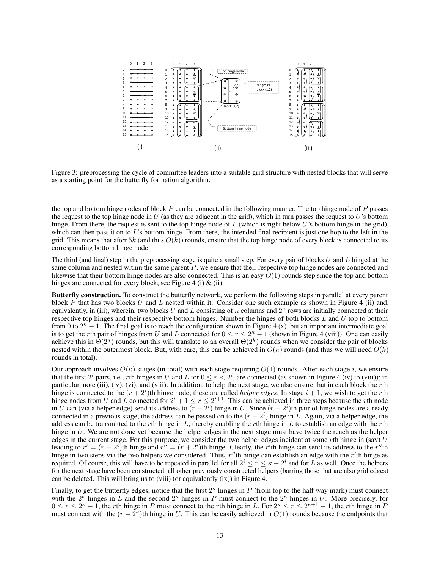

Figure 3: preprocessing the cycle of committee leaders into a suitable grid structure with nested blocks that will serve as a starting point for the butterfly formation algorithm.

the top and bottom hinge nodes of block  $P$  can be connected in the following manner. The top hinge node of  $P$  passes the request to the top hinge node in  $U$  (as they are adjacent in the grid), which in turn passes the request to  $U$ 's bottom hinge. From there, the request is sent to the top hinge node of  $L$  (which is right below  $U$ 's bottom hinge in the grid), which can then pass it on to L's bottom hinge. From there, the intended final recipient is just one hop to the left in the grid. This means that after 5k (and thus  $O(k)$ ) rounds, ensure that the top hinge node of every block is connected to its corresponding bottom hinge node.

The third (and final) step in the preprocessing stage is quite a small step. For every pair of blocks  $U$  and  $L$  hinged at the same column and nested within the same parent P, we ensure that their respective top hinge nodes are connected and likewise that their bottom hinge nodes are also connected. This is an easy  $O(1)$  rounds step since the top and bottom hinges are connected for every block; see Figure 4 (i) & (ii).

Butterfly construction. To construct the butterfly network, we perform the following steps in parallel at every parent block P that has two blocks U and L nested within it. Consider one such example as shown in Figure 4 (ii) and, equivalently, in (iii), wherein, two blocks U and L consisting of  $\kappa$  columns and  $2^{\kappa}$  rows are initially connected at their respective top hinges and their respective bottom hinges. Number the hinges of both blocks  $L$  and  $U$  top to bottom from 0 to  $2^k - 1$ . The final goal is to reach the configuration shown in Figure 4 (x), but an important intermediate goal is to get the rth pair of hinges from U and L connected for  $0 \le r \le 2^{\kappa} - 1$  (shown in Figure 4 (viii)). One can easily achieve this in  $\Theta(2^{\kappa})$  rounds, but this will translate to an overall  $\Theta(2^k)$  rounds when we consider the pair of blocks nested within the outermost block. But, with care, this can be achieved in  $O(\kappa)$  rounds (and thus we will need  $O(k)$ ) rounds in total).

Our approach involves  $O(\kappa)$  stages (in total) with each stage requiring  $O(1)$  rounds. After each stage i, we ensure that the first  $2^i$  pairs, i.e., rth hinges in U and L for  $0 \le r < 2^i$ , are connected (as shown in Figure 4 (iv) to (viii)); in particular, note (iii), (iv), (vi), and (viii). In addition, to help the next stage, we also ensure that in each block the rth hinge is connected to the  $(r + 2<sup>i</sup>)$ th hinge node; these are called *helper edges*. In stage  $i + 1$ , we wish to get the *r*th hinge nodes from U and L connected for  $2^i + 1 \le r \le 2^{i+1}$ . This can be achieved in three steps because the rth node in U can (via a helper edge) send its address to  $(r - 2^i)$  hinge in U. Since  $(r - 2^i)$ th pair of hinge nodes are already connected in a previous stage, the address can be passed on to the  $(r - 2<sup>i</sup>)$  hinge in L. Again, via a helper edge, the address can be transmitted to the rth hinge in  $L$ , thereby enabling the rth hinge in  $L$  to establish an edge with the rth hinge in U. We are not done yet because the helper edges in the next stage must have twice the reach as the helper edges in the current stage. For this purpose, we consider the two helper edges incident at some rth hinge in (say)  $U$ leading to  $r' = (r - 2^i)$ th hinge and  $r'' = (r + 2^i)$ th hinge. Clearly, the r'th hinge can send its address to the r''th hinge in two steps via the two helpers we considered. Thus,  $r''$ th hinge can establish an edge with the  $r'$ th hinge as required. Of course, this will have to be repeated in parallel for all  $2^i \le r \le \kappa - 2^i$  and for L as well. Once the helpers for the next stage have been constructed, all other previously constructed helpers (barring those that are also grid edges) can be deleted. This will bring us to (viii) (or equivalently (ix)) in Figure 4.

Finally, to get the butterfly edges, notice that the first  $2^{\kappa}$  hinges in P (from top to the half way mark) must connect with the  $2^k$  hinges in L and the second  $2^k$  hinges in P must connect to the  $2^k$  hinges in U. More precisely, for  $0 \le r \le 2^{\kappa} - 1$ , the rth hinge in P must connect to the rth hinge in L. For  $2^{\kappa} \le r \le 2^{\kappa+1} - 1$ , the rth hinge in P must connect with the  $(r - \overline{2^k})$ th hinge in U. This can be easily achieved in  $O(1)$  rounds because the endpoints that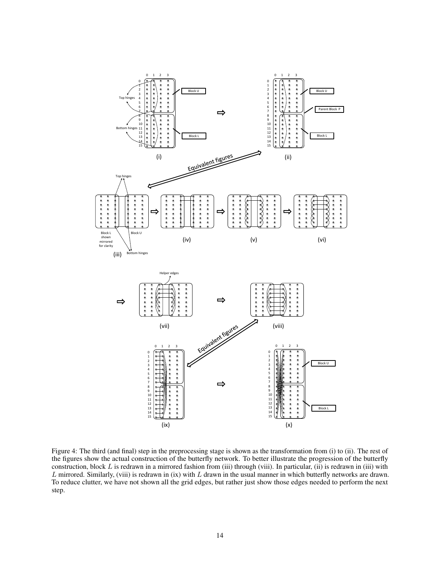

Figure 4: The third (and final) step in the preprocessing stage is shown as the transformation from (i) to (ii). The rest of the figures show the actual construction of the butterfly network. To better illustrate the progression of the butterfly construction, block  $L$  is redrawn in a mirrored fashion from (iii) through (viii). In particular, (ii) is redrawn in (iii) with  $L$  mirrored. Similarly, (viii) is redrawn in (ix) with  $L$  drawn in the usual manner in which butterfly networks are drawn. To reduce clutter, we have not shown all the grid edges, but rather just show those edges needed to perform the next step.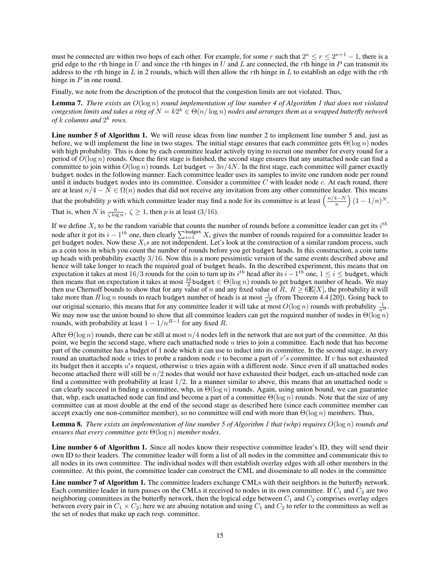must be connected are within two hops of each other. For example, for some r such that  $2^k \le r \le 2^{k+1} - 1$ , there is a grid edge to the rth hinge in U and since the rth hinges in U and L are connected, the rth hinge in P can transmit its address to the rth hinge in L in 2 rounds, which will then allow the rth hinge in L to establish an edge with the rth hinge in  $P$  in one round.

Finally, we note from the description of the protocol that the congestion limits are not violated. Thus,

Lemma 7. *There exists an* O(log n) *round implementation of line number 4 of Algorithm 1 that does not violated*  $congestion$  limits and takes a ring of  $N=k2^k\in\Theta(n/\log n)$  nodes and arranges them as a wrapped butterfly network of  $k$  columns and  $2^k$  rows.

Line number 5 of Algorithm 1. We will reuse ideas from line number 2 to implement line number 5 and, just as before, we will implement the line in two stages. The initial stage ensures that each committee gets  $\Theta(\log n)$  nodes with high probability. This is done by each committee leader actively trying to recruit one member for every round for a period of  $O(\log n)$  rounds. Once the first stage is finished, the second stage ensures that any unattached node can find a committee to join within  $O(\log n)$  rounds. Let budget  $= 3n/4N$ . In the first stage, each committee will garner exactly budget nodes in the following manner. Each committee leader uses its samples to invite one random node per round until it inducts budget nodes into its committee. Consider a committee  $C$  with leader node  $c$ . At each round, there are at least  $n/4 - N \in \Omega(n)$  nodes that did not receive any invitation from any other committee leader. This means that the probability p with which committee leader may find a node for its committee is at least  $\left(\frac{n/4-N}{n}\right)$  $\frac{(1-N)}{n}\Big) (1-1/n)^N.$ 

That is, when N is  $\frac{n}{\zeta \log n}$ ,  $\zeta \ge 1$ , then p is at least (3/16).

If we define  $X_i$  to be the random variable that counts the number of rounds before a committee leader can get its  $i^{th}$ node after it got its  $i - 1$ <sup>th</sup> one, then clearly  $\sum_{i=1}^{\text{budget}} X_i$  gives the number of rounds required for a committee leader to get budget nodes. Now these  $X_i$ s are not independent. Let's look at the construction of a similar random process, such as a coin toss in which you count the number of rounds before you get budget heads. In this construction, a coin turns up heads with probability exactly 3/16. Now this is a more pessimistic version of the same events described above and hence will take longer to reach the required goal of budget heads. In the described experiment, this means that on expectation it takes at most 16/3 rounds for the coin to turn up its  $i^{th}$  head after its  $i - 1^{th}$  one,  $1 \le i \le$  budget, which then means that on expectation it takes at most  $\frac{16}{3}$  budget  $\in$   $\Theta(\log n)$  rounds to get budget number of heads. We may then use Chernoff bounds to show that for any value of n and any fixed value of R,  $R \ge 6E[X]$ , the probability it will take more than  $R \log n$  rounds to reach budget number of heads is at most  $\frac{1}{nR}$  (from Theorem 4.4 [20]). Going back to our original scenario, this means that for any committee leader it will take at most  $O(\log n)$  rounds with probability  $\frac{1}{n^R}$ . We may now use the union bound to show that all committee leaders can get the required number of nodes in  $\Theta(\log n)$ rounds, with probability at least  $1 - 1/n^{R-1}$  for any fixed R.

After  $\Theta(\log n)$  rounds, there can be still at most  $n/4$  nodes left in the network that are not part of the committee. At this point, we begin the second stage, where each unattached node  $u$  tries to join a committee. Each node that has become part of the committee has a budget of 1 node which it can use to induct into its committee. In the second stage, in every round an unattached node u tries to probe a random node v to become a part of v's committee. If v has not exhausted its budget then it accepts  $u's$  request, otherwise u tries again with a different node. Since even if all unattached nodes become attached there will still be  $n/2$  nodes that would not have exhausted their budget, each un-attached node can find a committee with probability at least  $1/2$ . In a manner similar to above, this means that an unattached node u can clearly succeed in finding a committee, whp, in  $\Theta(\log n)$  rounds. Again, using union bound, we can guarantee that, whp, each unattached node can find and become a part of a committee  $\Theta(\log n)$  rounds. Note that the size of any committee can at most double at the end of the second stage as described here (since each committee member can accept exactly one non-committee member), so no committee will end with more than  $\Theta(\log n)$  members. Thus,

Lemma 8. *There exists an implementation of line number 5 of Algorithm 1 that (whp) requires* O(log n) *rounds and ensures that every committee gets* Θ(log n) *member nodes.*

Line number 6 of Algorithm 1. Since all nodes know their respective committee leader's ID, they will send their own ID to their leaders. The committee leader will form a list of all nodes in the committee and communicate this to all nodes in its own committee. The individual nodes will then establish overlay edges with all other members in the committee. At this point, the committee leader can construct the CML and disseminate to all nodes in the committee

Line number 7 of Algorithm 1. The committee leaders exchange CMLs with their neighbors in the butterfly network. Each committee leader in turn passes on the CMLs it received to nodes in its own committee. If  $C_1$  and  $C_2$  are two neighboring committees in the butterfly network, then the logical edge between  $C_1$  and  $C_2$  comprises overlay edges between every pair in  $C_1 \times C_2$ ; here we are abusing notation and using  $C_1$  and  $C_2$  to refer to the committees as well as the set of nodes that make up each resp. committee.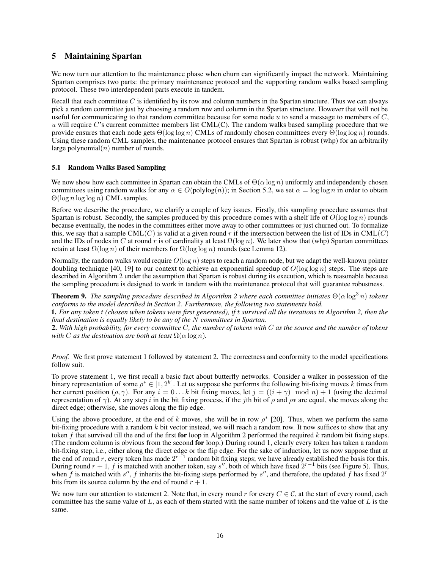# 5 Maintaining Spartan

We now turn our attention to the maintenance phase when churn can significantly impact the network. Maintaining Spartan comprises two parts: the primary maintenance protocol and the supporting random walks based sampling protocol. These two interdependent parts execute in tandem.

Recall that each committee  $C$  is identified by its row and column numbers in the Spartan structure. Thus we can always pick a random committee just by choosing a random row and column in the Spartan structure. However that will not be useful for communicating to that random committee because for some node  $u$  to send a message to members of  $C$ , u will require C's current committee members list CML(C). The random walks based sampling procedure that we provide ensures that each node gets  $\Theta(\log \log n)$  CMLs of randomly chosen committees every  $\Theta(\log \log n)$  rounds. Using these random CML samples, the maintenance protocol ensures that Spartan is robust (whp) for an arbitrarily large polynomial $(n)$  number of rounds.

## 5.1 Random Walks Based Sampling

We now show how each committee in Spartan can obtain the CMLs of  $\Theta(\alpha \log n)$  uniformly and independently chosen committees using random walks for any  $\alpha \in O(\text{polylog}(n))$ ; in Section 5.2, we set  $\alpha = \log \log n$  in order to obtain  $\Theta(\log n \log \log n)$  CML samples.

Before we describe the procedure, we clarify a couple of key issues. Firstly, this sampling procedure assumes that Spartan is robust. Secondly, the samples produced by this procedure comes with a shelf life of  $O(\log \log n)$  rounds because eventually, the nodes in the committees either move away to other committees or just churned out. To formalize this, we say that a sample CML(C) is valid at a given round r if the intersection between the list of IDs in CML(C) and the IDs of nodes in C at round r is of cardinality at least  $\Omega(\log n)$ . We later show that (whp) Spartan committees retain at least  $\Omega(\log n)$  of their members for  $\Omega(\log \log n)$  rounds (see Lemma 12).

Normally, the random walks would require  $O(\log n)$  steps to reach a random node, but we adapt the well-known pointer doubling technique [40, 19] to our context to achieve an exponential speedup of  $O(\log \log n)$  steps. The steps are described in Algorithm 2 under the assumption that Spartan is robust during its execution, which is reasonable because the sampling procedure is designed to work in tandem with the maintenance protocol that will guarantee robustness.

**Theorem 9.** *The sampling procedure described in Algorithm 2 where each committee initiates*  $\Theta(\alpha \log^3 n)$  *tokens conforms to the model described in Section 2. Furthermore, the following two statements hold.*

1. *For any token* t *(chosen when tokens were first generated), if* t *survived all the iterations in Algorithm 2, then the final destination is equally likely to be any of the* N *committees in Spartan.*

2. *With high probability, for every committee* C*, the number of tokens with* C *as the source and the number of tokens with C as the destination are both at least*  $\Omega(\alpha \log n)$ *.* 

*Proof.* We first prove statement 1 followed by statement 2. The correctness and conformity to the model specifications follow suit.

To prove statement 1, we first recall a basic fact about butterfly networks. Consider a walker in possession of the binary representation of some  $\rho^* \in [1, 2^k]$ . Let us suppose she performs the following bit-fixing moves k times from her current position  $(\rho, \gamma)$ . For any  $i = 0...k$  bit fixing moves, let  $j = ((i + \gamma) \mod n) + 1$  (using the decimal representation of  $\gamma$ ). At any step i in the bit fixing process, if the jth bit of  $\rho$  and  $\rho^*$  are equal, she moves along the direct edge; otherwise, she moves along the flip edge.

Using the above procedure, at the end of k moves, she will be in row  $\rho^*$  [20]. Thus, when we perform the same bit-fixing procedure with a random  $k$  bit vector instead, we will reach a random row. It now suffices to show that any token f that survived till the end of the first for loop in Algorithm 2 performed the required  $k$  random bit fixing steps. (The random column is obvious from the second for loop.) During round 1, clearly every token has taken a random bit-fixing step, i.e., either along the direct edge or the flip edge. For the sake of induction, let us now suppose that at the end of round r, every token has made  $2^{r-1}$  random bit fixing steps; we have already established the basis for this. During round  $r + 1$ , f is matched with another token, say s'', both of which have fixed  $2^{r-1}$  bits (see Figure 5). Thus, when f is matched with s'', f inherits the bit-fixing steps performed by s'', and therefore, the updated f has fixed  $2^r$ bits from its source column by the end of round  $r + 1$ .

We now turn our attention to statement 2. Note that, in every round r for every  $C \in \mathcal{C}$ , at the start of every round, each committee has the same value of  $L$ , as each of them started with the same number of tokens and the value of  $L$  is the same.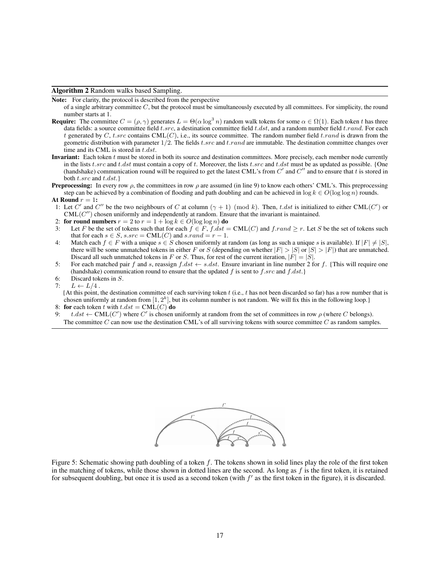Algorithm 2 Random walks based Sampling.

Note: For clarity, the protocol is described from the perspective

of a single arbitrary committee  $C$ , but the protocol must be simultaneously executed by all committees. For simplicity, the round number starts at 1.

- **Require:** The committee  $C = (\rho, \gamma)$  generates  $L = \Theta(\alpha \log^3 n)$  random walk tokens for some  $\alpha \in \Omega(1)$ . Each token t has three data fields: a source committee field t.src, a destination committee field t.dst, and a random number field t.rand. For each t generated by C, t.src contains  $CML(C)$ , i.e., its source committee. The random number field t.rand is drawn from the geometric distribution with parameter  $1/2$ . The fields t.src and t.rand are immutable. The destination committee changes over time and its CML is stored in t.dst.
- **Invariant:** Each token  $t$  must be stored in both its source and destination committees. More precisely, each member node currently in the lists  $t.src$  and  $t.dst$  must contain a copy of t. Moreover, the lists  $t.src$  and  $t.dst$  must be as updated as possible. {One (handshake) communication round will be required to get the latest CML's from  $C'$  and  $C''$  and to ensure that t is stored in both  $t.src$  and  $t.dst.$
- **Preprocessing:** In every row  $\rho$ , the committees in row  $\rho$  are assumed (in line 9) to know each others' CML's. This preprocessing step can be achieved by a combination of flooding and path doubling and can be achieved in  $\log k \in O(\log \log n)$  rounds.
- At Round  $r = 1$ :
- 1: Let C' and C'' be the two neighbours of C at column  $(\gamma + 1) \pmod{k}$ . Then, t.dst is initialized to either CML(C') or  $\text{CML}(C'')$  chosen uniformly and independently at random. Ensure that the invariant is maintained.
- 2: for round numbers  $r = 2$  to  $r = 1 + \log k \in O(\log \log n)$  do
- 3: Let F be the set of tokens such that for each  $f \in F$ ,  $f$  dst = CML(C) and  $f$  rand  $\geq r$ . Let S be the set of tokens such that for each  $s \in S$ ,  $s.src = \text{CML}(C)$  and  $s.random = r - 1$ .
- 4: Match each  $f \in F$  with a unique  $s \in S$  chosen uniformly at random (as long as such a unique s is available). If  $|F| \neq |S|$ , there will be some unmatched tokens in either F or S (depending on whether  $|F| > |S|$  or  $|S| > |F|$ ) that are unmatched. Discard all such unmatched tokens in F or S. Thus, for rest of the current iteration,  $|F| = |S|$ .
- 5: For each matched pair f and s, reassign  $f. ds t \leftarrow s. ds t$ . Ensure invariant in line number 2 for f. {This will require one (handshake) communication round to ensure that the updated f is sent to f.src and f.dst.}
- 6: Discard tokens in S.
- 7:  $L \leftarrow L/4$ .

 ${A}$ t this point, the destination committee of each surviving token t (i.e., t has not been discarded so far) has a row number that is chosen uniformly at random from  $[1, 2^k]$ , but its column number is not random. We will fix this in the following loop.}

- 8: for each token t with  $t.dst = \text{CML}(C)$  do
- 9:  $t.dst \leftarrow \text{CML}(C')$  where C' is chosen uniformly at random from the set of committees in row  $\rho$  (where C belongs). The committee  $C$  can now use the destination CML's of all surviving tokens with source committee  $C$  as random samples.



Figure 5: Schematic showing path doubling of a token  $f$ . The tokens shown in solid lines play the role of the first token in the matching of tokens, while those shown in dotted lines are the second. As long as  $f$  is the first token, it is retained for subsequent doubling, but once it is used as a second token (with  $f'$  as the first token in the figure), it is discarded.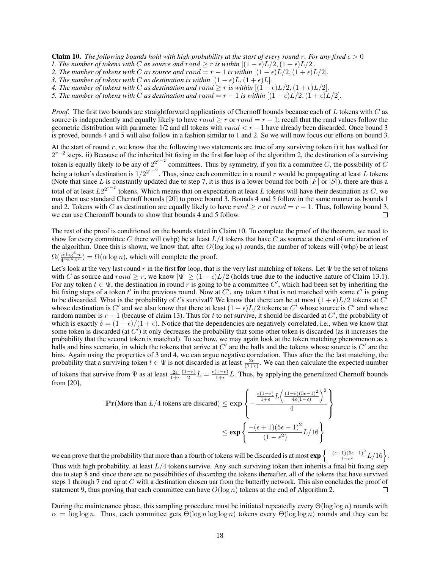**Claim 10.** The following bounds hold with high probability at the start of every round r. For any fixed  $\epsilon > 0$ 

- *1. The number of tokens with* C *as source and*  $\text{rand} \geq r$  *is within*  $[(1 \epsilon)L/2, (1 + \epsilon)L/2]$ *.*
- *2. The number of tokens with C as source and*  $rand = r 1$  *is within*  $[(1 \epsilon)L/2, (1 + \epsilon)L/2]$ *.*
- *3. The number of tokens with C as destination is within*  $[(1 \epsilon)L, (1 + \epsilon)L]$ *.*
- *4. The number of tokens with C as destination and*  $rand \geq r$  *is within*  $[(1 \epsilon)L/2, (1 + \epsilon)L/2]$ *.*
- *5. The number of tokens with* C *as destination and*  $rand = r 1$  *is within*  $[(1 \epsilon)L/2, (1 + \epsilon)L/2]$ *.*

*Proof.* The first two bounds are straightforward applications of Chernoff bounds because each of L tokens with C as source is independently and equally likely to have  $rand \geq r$  or  $rand = r - 1$ ; recall that the rand values follow the geometric distribution with parameter 1/2 and all tokens with rand  $\lt r - 1$  have already been discarded. Once bound 3 is proved, bounds 4 and 5 will also follow in a fashion similar to 1 and 2. So we will now focus our efforts on bound 3.

At the start of round  $r$ , we know that the following two statements are true of any surviving token i) it has walked for  $2^{r-2}$  steps. ii) Because of the inherited bit fixing in the first for loop of the algorithm 2, the destination of a surviving token is equally likely to be any of  $2^{2^{r-2}}$  committees. Thus by symmetry, if you fix a committee C, the possibility of C being a token's destination is  $1/2^{2^{r-2}}$ . Thus, since each committee in a round r would be propagating at least L tokens (Note that since L is constantly updated due to step 7, it is thus is a lower bound for both  $|F|$  or  $|S|$ ), there are thus a total of at least  $L2^{2^{r-2}}$  tokens. Which means that on expectation at least L tokens will have their destination as C, we may then use standard Chernoff bounds [20] to prove bound 3. Bounds 4 and 5 follow in the same manner as bounds 1 and 2. Tokens with C as destination are equally likely to have rand  $\geq r$  or rand = r – 1. Thus, following bound 3, we can use Cheronoff bounds to show that bounds 4 and 5 follow. we can use Cheronoff bounds to show that bounds 4 and 5 follow.

The rest of the proof is conditioned on the bounds stated in Claim 10. To complete the proof of the theorem, we need to show for every committee C there will (whp) be at least  $L/4$  tokens that have C as source at the end of one iteration of the algorithm. Once this is shown, we know that, after  $O(\log \log n)$  rounds, the number of tokens will (whp) be at least  $\Omega(\frac{\alpha \log^3 n}{4^{\log \log n}}) = \Omega(\alpha \log n)$ , which will complete the proof.

Let's look at the very last round r in the first for loop, that is the very last matching of tokens. Let  $\Psi$  be the set of tokens with C as source and rand  $\geq r$ ; we know  $|\Psi| \geq (1 - \epsilon)L/2$  (holds true due to the inductive nature of Claim 13.1). For any token  $t \in \Psi$ , the destination in round r is going to be a committee C', which had been set by inheriting the bit fixing steps of a token t' in the previous round. Now at C', any token t that is not matched with some t'' is going to be discarded. What is the probability of t's survival? We know that there can be at most  $(1+\epsilon)L/2$  tokens at  $\tilde{C}$ whose destination is C' and we also know that there at least  $(1 - \epsilon)L/2$  tokens at C' whose source is C' and whose random number is  $r - 1$  (because of claim 13). Thus for t to not survive, it should be discarded at C', the probability of which is exactly  $\delta = (1 - \epsilon)/(1 + \epsilon)$ . Notice that the dependencies are negatively correlated, i.e., when we know that some token is discarded (at  $C'$ ) it only decreases the probability that some other token is discarded (as it increases the probability that the second token is matched). To see how, we may again look at the token matching phenomenon as a balls and bins scenario, in which the tokens that arrive at  $C'$  are the balls and the tokens whose source is  $C'$  are the bins. Again using the properties of 3 and 4, we can argue negative correlation. Thus after the the last matching, the probability that a surviving token  $t \in \Psi$  is not discarded is at least  $\frac{2\epsilon}{(1+\epsilon)}$ . We can then calculate the expected number  $(1-\epsilon)$ 

of tokens that survive from  $\Psi$  as at least  $\frac{2\epsilon}{1+\epsilon}$  $\frac{-\epsilon}{2}L = \frac{\epsilon(1-\epsilon)}{1+\epsilon}$  $\frac{1-\epsilon}{1+\epsilon}L$ . Thus, by applying the generalized Chernoff bounds from [20],

$$
\mathbf{Pr}(\text{More than } L/4 \text{ tokens are discarded}) \le \exp\left\{-\frac{\frac{\epsilon(1-\epsilon)}{1+\epsilon}L\left(\frac{(1+\epsilon)(5\epsilon-1)^2}{4\epsilon(1-\epsilon)}\right)^2}{4}\right\}
$$

$$
\le \exp\left\{\frac{-(\epsilon+1)(5\epsilon-1)^2}{(1-\epsilon^2)}L/16\right\}
$$

we can prove that the probability that more than a fourth of tokens will be discarded is at most  $\exp\left\{\frac{-(\epsilon+1)(5\epsilon-1)^2}{1-\epsilon^2}\right\}$  $\frac{(1)(5\epsilon-1)^2}{1-\epsilon^2}L/16$ . Thus with high probability, at least  $L/4$  tokens survive. Any such surviving token then inherits a final bit fixing step due to step 8 and since there are no possibilities of discarding the tokens thereafter, all of the tokens that have survived steps 1 through 7 end up at C with a destination chosen uar from the butterfly network. This also concludes the proof of statement 9, thus proving that each committee can have  $O(\log n)$  tokens at the end of Algorithm 2.  $\Box$ 

During the maintenance phase, this sampling procedure must be initiated repeatedly every  $\Theta(\log \log n)$  rounds with  $\alpha = \log \log n$ . Thus, each committee gets  $\Theta(\log n \log \log n)$  tokens every  $\Theta(\log \log n)$  rounds and they can be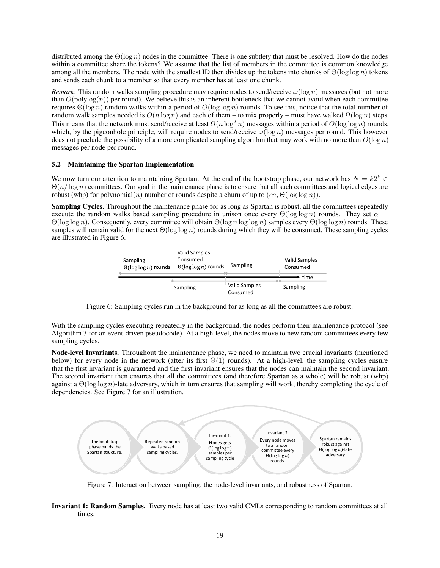distributed among the  $\Theta(\log n)$  nodes in the committee. There is one subtlety that must be resolved. How do the nodes within a committee share the tokens? We assume that the list of members in the committee is common knowledge among all the members. The node with the smallest ID then divides up the tokens into chunks of  $\Theta(\log \log n)$  tokens and sends each chunk to a member so that every member has at least one chunk.

*Remark*: This random walks sampling procedure may require nodes to send/receive  $\omega(\log n)$  messages (but not more than  $O(\text{polylog}(n))$  per round). We believe this is an inherent bottleneck that we cannot avoid when each committee requires  $\Theta(\log n)$  random walks within a period of  $O(\log \log n)$  rounds. To see this, notice that the total number of random walk samples needed is  $O(n \log n)$  and each of them – to mix properly – must have walked  $\Omega(\log n)$  steps. This means that the network must send/receive at least  $\Omega(n \log^2 n)$  messages within a period of  $O(\log \log n)$  rounds, which, by the pigeonhole principle, will require nodes to send/receive  $\omega(\log n)$  messages per round. This however does not preclude the possibility of a more complicated sampling algorithm that may work with no more than  $O(\log n)$ messages per node per round.

#### 5.2 Maintaining the Spartan Implementation

We now turn our attention to maintaining Spartan. At the end of the bootstrap phase, our network has  $N = k2^k \in \mathbb{R}$  $\Theta(n/\log n)$  committees. Our goal in the maintenance phase is to ensure that all such committees and logical edges are robust (whp) for polynomial(n) number of rounds despite a churn of up to  $(\epsilon n, \Theta(\log \log n))$ .

Sampling Cycles. Throughout the maintenance phase for as long as Spartan is robust, all the committees repeatedly execute the random walks based sampling procedure in unison once every  $\Theta(\log \log n)$  rounds. They set  $\alpha =$ Θ(log log n). Consequently, every committee will obtain Θ(log n log log n) samples every Θ(log log n) rounds. These samples will remain valid for the next  $\Theta(\log \log n)$  rounds during which they will be consumed. These sampling cycles are illustrated in Figure 6.



Figure 6: Sampling cycles run in the background for as long as all the committees are robust.

With the sampling cycles executing repeatedly in the background, the nodes perform their maintenance protocol (see Algorithm 3 for an event-driven pseudocode). At a high-level, the nodes move to new random committees every few sampling cycles.

Node-level Invariants. Throughout the maintenance phase, we need to maintain two crucial invariants (mentioned below) for every node in the network (after its first  $\Theta(1)$  rounds). At a high-level, the sampling cycles ensure that the first invariant is guaranteed and the first invariant ensures that the nodes can maintain the second invariant. The second invariant then ensures that all the committees (and therefore Spartan as a whole) will be robust (whp) against a  $\Theta(\log \log n)$ -late adversary, which in turn ensures that sampling will work, thereby completing the cycle of dependencies. See Figure 7 for an illustration.



Figure 7: Interaction between sampling, the node-level invariants, and robustness of Spartan.

Invariant 1: Random Samples. Every node has at least two valid CMLs corresponding to random committees at all times.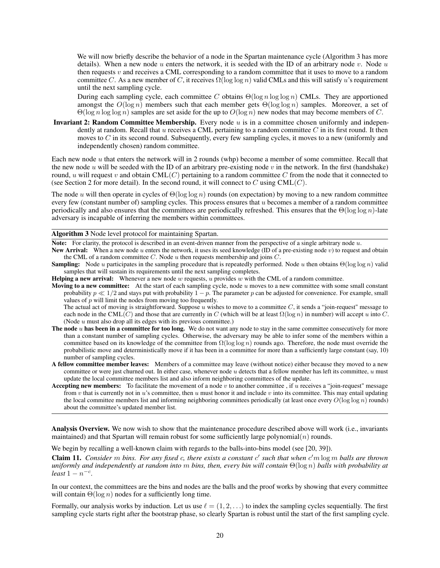We will now briefly describe the behavior of a node in the Spartan maintenance cycle (Algorithm 3 has more details). When a new node u enters the network, it is seeded with the ID of an arbitrary node v. Node u then requests  $v$  and receives a CML corresponding to a random committee that it uses to move to a random committee C. As a new member of C, it receives  $\Omega(\log \log n)$  valid CMLs and this will satisfy u's requirement until the next sampling cycle.

During each sampling cycle, each committee C obtains  $\Theta(\log n \log \log n)$  CMLs. They are apportioned amongst the  $O(\log n)$  members such that each member gets  $\Theta(\log \log n)$  samples. Moreover, a set of  $\Theta(\log n \log \log n)$  samples are set aside for the up to  $O(\log n)$  new nodes that may become members of C.

Invariant 2: Random Committee Membership. Every node  $u$  is in a committee chosen uniformly and independently at random. Recall that  $u$  receives a CML pertaining to a random committee  $C$  in its first round. It then moves to  $C$  in its second round. Subsequently, every few sampling cycles, it moves to a new (uniformly and independently chosen) random committee.

Each new node  $u$  that enters the network will in 2 rounds (whp) become a member of some committee. Recall that the new node u will be seeded with the ID of an arbitrary pre-existing node v in the network. In the first (handshake) round, u will request v and obtain  $CML(C)$  pertaining to a random committee C from the node that it connected to (see Section 2 for more detail). In the second round, it will connect to C using  $\text{CML}(C)$ .

The node u will then operate in cycles of  $\Theta(\log \log n)$  rounds (on expectation) by moving to a new random committee every few (constant number of) sampling cycles. This process ensures that u becomes a member of a random committee periodically and also ensures that the committees are periodically refreshed. This ensures that the  $\Theta(\log \log n)$ -late adversary is incapable of inferring the members within committees.

#### Algorithm 3 Node level protocol for maintaining Spartan.

Note: For clarity, the protocol is described in an event-driven manner from the perspective of a single arbitrary node u.

**New Arrival:** When a new node u enters the network, it uses its seed knowledge (ID of a pre-existing node v) to request and obtain the CML of a random committee  $C$ . Node  $u$  then requests membership and joins  $C$ .

**Sampling:** Node u participates in the sampling procedure that is repeatedly performed. Node u then obtains  $\Theta(\log \log n)$  valid samples that will sustain its requirements until the next sampling completes.

**Helping a new arrival:** Whenever a new node w requests, u provides w with the CML of a random committee.

**Moving to a new committee:** At the start of each sampling cycle, node u moves to a new committee with some small constant probability  $p \ll 1/2$  and stays put with probability  $1 - p$ . The parameter p can be adjusted for convenience. For example, small values of  $p$  will limit the nodes from moving too frequently.

The actual act of moving is straightforward. Suppose  $u$  wishes to move to a committee  $C$ , it sends a "join-request" message to each node in the CML(C) and those that are currently in C (which will be at least  $\Omega(\log n)$  in number) will accept u into C. (Node u must also drop all its edges with its previous committee.)

- The node  $u$  has been in a committee for too long. We do not want any node to stay in the same committee consecutively for more than a constant number of sampling cycles. Otherwise, the adversary may be able to infer some of the members within a committee based on its knowledge of the committee from  $\Omega(\log \log n)$  rounds ago. Therefore, the node must override the probabilistic move and deterministically move if it has been in a committee for more than a sufficiently large constant (say, 10) number of sampling cycles.
- A fellow committee member leaves: Members of a committee may leave (without notice) either because they moved to a new committee or were just churned out. In either case, whenever node  $u$  detects that a fellow member has left its committee,  $u$  must update the local committee members list and also inform neighboring committees of the update.
- Accepting new members: To facilitate the movement of a node  $v$  to another committee, if  $u$  receives a "join-request" message from  $v$  that is currently not in  $u$ 's committee, then  $u$  must honor it and include  $v$  into its committee. This may entail updating the local committee members list and informing neighboring committees periodically (at least once every  $O(\log \log n)$  rounds) about the committee's updated member list.

Analysis Overview. We now wish to show that the maintenance procedure described above will work (i.e., invariants maintained) and that Spartan will remain robust for some sufficiently large polynomial $(n)$  rounds.

We begin by recalling a well-known claim with regards to the balls-into-bins model (see [20, 39]).

Claim 11. *Consider* m *bins. For any fixed* c*, there exists a constant* c ′ *such that when* c ′m log m *balls are thrown uniformly and independently at random into* m *bins, then, every bin will contain* Θ(log n) *balls with probability at*  $\textit{least}~1-n^{-c}.$ 

In our context, the committees are the bins and nodes are the balls and the proof works by showing that every committee will contain  $\Theta(\log n)$  nodes for a sufficiently long time.

Formally, our analysis works by induction. Let us use  $\ell = (1, 2, ...)$  to index the sampling cycles sequentially. The first sampling cycle starts right after the bootstrap phase, so clearly Spartan is robust until the start of the first sampling cycle.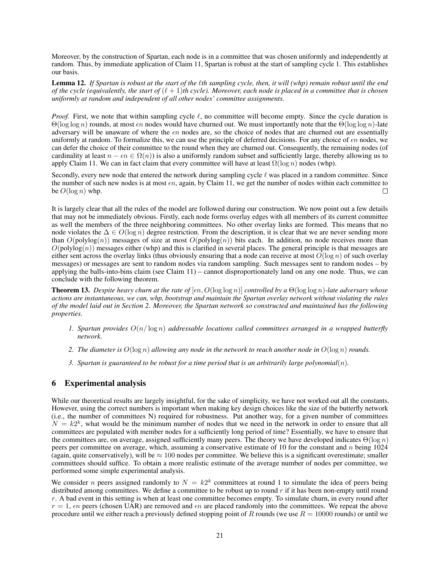Moreover, by the construction of Spartan, each node is in a committee that was chosen uniformly and independently at random. Thus, by immediate application of Claim 11, Spartan is robust at the start of sampling cycle 1. This establishes our basis.

Lemma 12. If Spartan is robust at the start of the *l*th sampling cycle, then, it will (whp) remain robust until the end *of the cycle (equivalently, the start of*  $(\ell + 1)$ *th cycle). Moreover, each node is placed in a committee that is chosen uniformly at random and independent of all other nodes' committee assignments.*

*Proof.* First, we note that within sampling cycle  $\ell$ , no committee will become empty. Since the cycle duration is  $\Theta(\log \log n)$  rounds, at most  $\epsilon n$  nodes would have churned out. We must importantly note that the  $\Theta(\log \log n)$ -late adversary will be unaware of where the  $\epsilon n$  nodes are, so the choice of nodes that are churned out are essentially uniformly at random. To formalize this, we can use the principle of deferred decisions. For any choice of  $\epsilon n$  nodes, we can defer the choice of their committee to the round when they are churned out. Consequently, the remaining nodes (of cardinality at least  $n - \epsilon n \in \Omega(n)$ ) is also a uniformly random subset and sufficiently large, thereby allowing us to apply Claim 11. We can in fact claim that every committee will have at least  $\Omega(\log n)$  nodes (whp).

Secondly, every new node that entered the network during sampling cycle  $\ell$  was placed in a random committee. Since the number of such new nodes is at most  $\epsilon n$ , again, by Claim 11, we get the number of nodes within each committee to be  $O(\log n)$  whp.

It is largely clear that all the rules of the model are followed during our construction. We now point out a few details that may not be immediately obvious. Firstly, each node forms overlay edges with all members of its current committee as well the members of the three neighboring committees. No other overlay links are formed. This means that no node violates the  $\Delta \in O(\log n)$  degree restriction. From the description, it is clear that we are never sending more than  $O(polylog(n))$  messages of size at most  $O(polylog(n))$  bits each. In addition, no node receives more than  $O(polylog(n))$  messages either (whp) and this is clarified in several places. The general principle is that messages are either sent across the overlay links (thus obviously ensuring that a node can receive at most  $O(\log n)$ ) of such overlay messages) or messages are sent to random nodes via random sampling. Such messages sent to random nodes – by applying the balls-into-bins claim (see Claim 11) – cannot disproportionately land on any one node. Thus, we can conclude with the following theorem.

**Theorem 13.** *Despite heavy churn at the rate of*  $[\epsilon n, O(\log \log n)]$  *controlled by a*  $\Theta(\log \log n)$ *-late adversary whose actions are instantaneous, we can, whp, bootstrap and maintain the Spartan overlay network without violating the rules of the model laid out in Section 2. Moreover, the Spartan network so constructed and maintained has the following properties.*

- 1. Spartan provides  $O(n/\log n)$  addressable locations called committees arranged in a wrapped butterfly *network.*
- *2. The diameter is* O(log n) *allowing any node in the network to reach another node in* O(log n) *rounds.*
- *3. Spartan is guaranteed to be robust for a time period that is an arbitrarily large polynomial(n).*

# 6 Experimental analysis

While our theoretical results are largely insightful, for the sake of simplicity, we have not worked out all the constants. However, using the correct numbers is important when making key design choices like the size of the butterfly network (i.e., the number of committees N) required for robustness. Put another way, for a given number of committees  $N = k2<sup>k</sup>$ , what would be the minimum number of nodes that we need in the network in order to ensure that all committees are populated with member nodes for a sufficiently long period of time? Essentially, we have to ensure that the committees are, on average, assigned sufficiently many peers. The theory we have developed indicates  $\Theta(\log n)$ peers per committee on average, which, assuming a conservative estimate of 10 for the constant and n being 1024 (again, quite conservatively), will be  $\approx 100$  nodes per committee. We believe this is a significant overestimate; smaller committees should suffice. To obtain a more realistic estimate of the average number of nodes per committee, we performed some simple experimental analysis.

We consider *n* peers assigned randomly to  $N = k2^k$  committees at round 1 to simulate the idea of peers being distributed among committees. We define a committee to be robust up to round  $r$  if it has been non-empty until round  $r$ . A bad event in this setting is when at least one committee becomes empty. To simulate churn, in every round after  $r = 1$ ,  $\epsilon n$  peers (chosen UAR) are removed and  $\epsilon n$  are placed randomly into the committees. We repeat the above procedure until we either reach a previously defined stopping point of R rounds (we use  $R = 10000$  rounds) or until we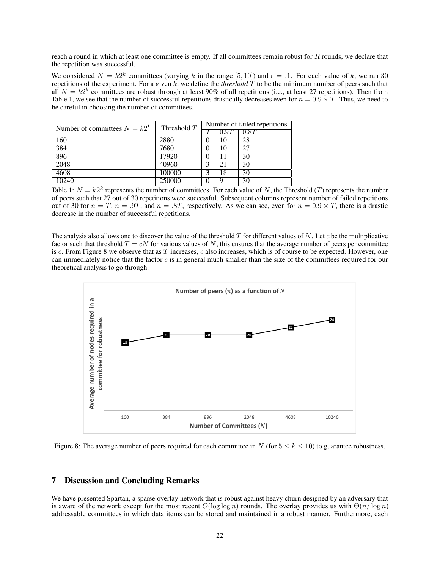reach a round in which at least one committee is empty. If all committees remain robust for  $R$  rounds, we declare that the repetition was successful.

We considered  $N = k2^k$  committees (varying k in the range [5, 10]) and  $\epsilon = 0.1$ . For each value of k, we ran 30 repetitions of the experiment. For a given  $k$ , we define the *threshold*  $\hat{T}$  to be the minimum number of peers such that all  $N = k2^k$  committees are robust through at least 90% of all repetitions (i.e., at least 27 repetitions). Then from Table 1, we see that the number of successful repetitions drastically decreases even for  $n = 0.9 \times T$ . Thus, we need to be careful in choosing the number of committees.

| Number of committees $N = k2^k$ | Threshold $T$ | Number of failed repetitions |      |                   |
|---------------------------------|---------------|------------------------------|------|-------------------|
|                                 |               |                              | 0.9T | $\overline{0.8}T$ |
| 160                             | 2880          | $_{0}$                       | 10   | 28                |
| 384                             | 7680          | $\theta$                     | 10   | 27                |
| 896                             | 17920         |                              |      | 30                |
| 2048                            | 40960         |                              | 21   | 30                |
| 4608                            | 100000        |                              | 18   | 30                |
| 10240                           | 250000        |                              |      | 30                |

Table 1:  $N = k2^k$  represents the number of committees. For each value of N, the Threshold (T) represents the number of peers such that 27 out of 30 repetitions were successful. Subsequent columns represent number of failed repetitions out of 30 for  $n = T$ ,  $n = .9T$ , and  $n = .8T$ , respectively. As we can see, even for  $n = 0.9 \times T$ , there is a drastic decrease in the number of successful repetitions.

The analysis also allows one to discover the value of the threshold  $T$  for different values of  $N$ . Let  $c$  be the multiplicative factor such that threshold  $T = cN$  for various values of N; this ensures that the average number of peers per committee is c. From Figure 8 we observe that as T increases, c also increases, which is of course to be expected. However, one can immediately notice that the factor  $c$  is in general much smaller than the size of the committees required for our theoretical analysis to go through.



Figure 8: The average number of peers required for each committee in N (for  $5 \le k \le 10$ ) to guarantee robustness.

## 7 Discussion and Concluding Remarks

We have presented Spartan, a sparse overlay network that is robust against heavy churn designed by an adversary that is aware of the network except for the most recent  $O(\log \log n)$  rounds. The overlay provides us with  $\Theta(n/\log n)$ addressable committees in which data items can be stored and maintained in a robust manner. Furthermore, each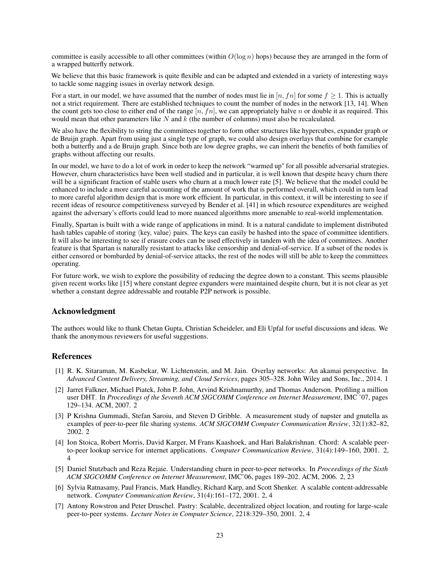committee is easily accessible to all other committees (within  $O(\log n)$  hops) because they are arranged in the form of a wrapped butterfly network.

We believe that this basic framework is quite flexible and can be adapted and extended in a variety of interesting ways to tackle some nagging issues in overlay network design.

For a start, in our model, we have assumed that the number of nodes must lie in [n, fn] for some  $f \ge 1$ . This is actually not a strict requirement. There are established techniques to count the number of nodes in the network [13, 14]. When the count gets too close to either end of the range  $[n, fn]$ , we can appropriately halve n or double it as required. This would mean that other parameters like  $N$  and  $k$  (the number of columns) must also be recalculated.

We also have the flexibility to string the committees together to form other structures like hypercubes, expander graph or de Bruijn graph. Apart from using just a single type of graph, we could also design overlays that combine for example both a butterfly and a de Bruijn graph. Since both are low degree graphs, we can inherit the benefits of both families of graphs without affecting our results.

In our model, we have to do a lot of work in order to keep the network "warmed up" for all possible adversarial strategies. However, churn characteristics have been well studied and in particular, it is well known that despite heavy churn there will be a significant fraction of stable users who churn at a much lower rate [5]. We believe that the model could be enhanced to include a more careful accounting of the amount of work that is performed overall, which could in turn lead to more careful algorithm design that is more work efficient. In particular, in this context, it will be interesting to see if recent ideas of resource competitiveness surveyed by Bender et al. [41] in which resource expenditures are weighed against the adversary's efforts could lead to more nuanced algorithms more amenable to real-world implementation.

Finally, Spartan is built with a wide range of applications in mind. It is a natural candidate to implement distributed hash tables capable of storing  $\langle \text{key}, \text{value} \rangle$  pairs. The keys can easily be hashed into the space of committee identifiers. It will also be interesting to see if erasure codes can be used effectively in tandem with the idea of committees. Another feature is that Spartan is naturally resistant to attacks like censorship and denial-of-service. If a subset of the nodes is either censored or bombarded by denial-of-service attacks, the rest of the nodes will still be able to keep the committees operating.

For future work, we wish to explore the possibility of reducing the degree down to a constant. This seems plausible given recent works like [15] where constant degree expanders were maintained despite churn, but it is not clear as yet whether a constant degree addressable and routable P2P network is possible.

# Acknowledgment

The authors would like to thank Chetan Gupta, Christian Scheideler, and Eli Upfal for useful discussions and ideas. We thank the anonymous reviewers for useful suggestions.

## References

- [1] R. K. Sitaraman, M. Kasbekar, W. Lichtenstein, and M. Jain. Overlay networks: An akamai perspective. In *Advanced Content Delivery, Streaming, and Cloud Services*, pages 305–328. John Wiley and Sons, Inc., 2014. 1
- [2] Jarret Falkner, Michael Piatek, John P. John, Arvind Krishnamurthy, and Thomas Anderson. Profiling a million user DHT. In *Proceedings of the Seventh ACM SIGCOMM Conference on Internet Measurement*, IMC '07, pages 129–134. ACM, 2007. 2
- [3] P Krishna Gummadi, Stefan Saroiu, and Steven D Gribble. A measurement study of napster and gnutella as examples of peer-to-peer file sharing systems. *ACM SIGCOMM Computer Communication Review*, 32(1):82–82, 2002. 2
- [4] Ion Stoica, Robert Morris, David Karger, M Frans Kaashoek, and Hari Balakrishnan. Chord: A scalable peerto-peer lookup service for internet applications. *Computer Communication Review*, 31(4):149–160, 2001. 2, 4
- [5] Daniel Stutzbach and Reza Rejaie. Understanding churn in peer-to-peer networks. In *Proceedings of the Sixth ACM SIGCOMM Conference on Internet Measurement*, IMC'06, pages 189–202. ACM, 2006. 2, 23
- [6] Sylvia Ratnasamy, Paul Francis, Mark Handley, Richard Karp, and Scott Shenker. A scalable content-addressable network. *Computer Communication Review*, 31(4):161–172, 2001. 2, 4
- [7] Antony Rowstron and Peter Druschel. Pastry: Scalable, decentralized object location, and routing for large-scale peer-to-peer systems. *Lecture Notes in Computer Science*, 2218:329–350, 2001. 2, 4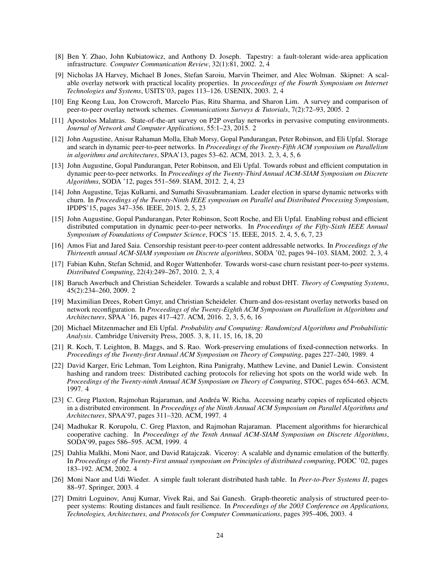- [8] Ben Y. Zhao, John Kubiatowicz, and Anthony D. Joseph. Tapestry: a fault-tolerant wide-area application infrastructure. *Computer Communication Review*, 32(1):81, 2002. 2, 4
- [9] Nicholas JA Harvey, Michael B Jones, Stefan Saroiu, Marvin Theimer, and Alec Wolman. Skipnet: A scalable overlay network with practical locality properties. In *proceedings of the Fourth Symposium on Internet Technologies and Systems*, USITS'03, pages 113–126. USENIX, 2003. 2, 4
- [10] Eng Keong Lua, Jon Crowcroft, Marcelo Pias, Ritu Sharma, and Sharon Lim. A survey and comparison of peer-to-peer overlay network schemes. *Communications Surveys & Tutorials*, 7(2):72–93, 2005. 2
- [11] Apostolos Malatras. State-of-the-art survey on P2P overlay networks in pervasive computing environments. *Journal of Network and Computer Applications*, 55:1–23, 2015. 2
- [12] John Augustine, Anisur Rahaman Molla, Ehab Morsy, Gopal Pandurangan, Peter Robinson, and Eli Upfal. Storage and search in dynamic peer-to-peer networks. In *Proceedings of the Twenty-Fifth ACM symposium on Parallelism in algorithms and architectures*, SPAA'13, pages 53–62. ACM, 2013. 2, 3, 4, 5, 6
- [13] John Augustine, Gopal Pandurangan, Peter Robinson, and Eli Upfal. Towards robust and efficient computation in dynamic peer-to-peer networks. In *Proceedings of the Twenty-Third Annual ACM-SIAM Symposium on Discrete Algorithms*, SODA '12, pages 551–569. SIAM, 2012. 2, 4, 23
- [14] John Augustine, Tejas Kulkarni, and Sumathi Sivasubramaniam. Leader election in sparse dynamic networks with churn. In *Proceedings of the Twenty-Ninth IEEE symposium on Parallel and Distributed Processing Symposium*, IPDPS'15, pages 347–356. IEEE, 2015. 2, 5, 23
- [15] John Augustine, Gopal Pandurangan, Peter Robinson, Scott Roche, and Eli Upfal. Enabling robust and efficient distributed computation in dynamic peer-to-peer networks. In *Proceedings of the Fifty-Sixth IEEE Annual Symposium of Foundations of Computer Science*, FOCS '15. IEEE, 2015. 2, 4, 5, 6, 7, 23
- [16] Amos Fiat and Jared Saia. Censorship resistant peer-to-peer content addressable networks. In *Proceedings of the Thirteenth annual ACM-SIAM symposium on Discrete algorithms*, SODA '02, pages 94–103. SIAM, 2002. 2, 3, 4
- [17] Fabian Kuhn, Stefan Schmid, and Roger Wattenhofer. Towards worst-case churn resistant peer-to-peer systems. *Distributed Computing*, 22(4):249–267, 2010. 2, 3, 4
- [18] Baruch Awerbuch and Christian Scheideler. Towards a scalable and robust DHT. *Theory of Computing Systems*, 45(2):234–260, 2009. 2
- [19] Maximilian Drees, Robert Gmyr, and Christian Scheideler. Churn-and dos-resistant overlay networks based on network reconfiguration. In *Proceedings of the Twenty-Eighth ACM Symposium on Parallelism in Algorithms and Architectures*, SPAA '16, pages 417–427. ACM, 2016. 2, 3, 5, 6, 16
- [20] Michael Mitzenmacher and Eli Upfal. *Probability and Computing: Randomized Algorithms and Probabilistic Analysis*. Cambridge University Press, 2005. 3, 8, 11, 15, 16, 18, 20
- [21] R. Koch, T. Leighton, B. Maggs, and S. Rao. Work-preserving emulations of fixed-connection networks. In *Proceedings of the Twenty-first Annual ACM Symposium on Theory of Computing*, pages 227–240, 1989. 4
- [22] David Karger, Eric Lehman, Tom Leighton, Rina Panigrahy, Matthew Levine, and Daniel Lewin. Consistent hashing and random trees: Distributed caching protocols for relieving hot spots on the world wide web. In *Proceedings of the Twenty-ninth Annual ACM Symposium on Theory of Computing*, STOC, pages 654–663. ACM, 1997. 4
- [23] C. Greg Plaxton, Rajmohan Rajaraman, and Andréa W. Richa. Accessing nearby copies of replicated objects in a distributed environment. In *Proceedings of the Ninth Annual ACM Symposium on Parallel Algorithms and Architectures*, SPAA'97, pages 311–320. ACM, 1997. 4
- [24] Madhukar R. Korupolu, C. Greg Plaxton, and Rajmohan Rajaraman. Placement algorithms for hierarchical cooperative caching. In *Proceedings of the Tenth Annual ACM-SIAM Symposium on Discrete Algorithms*, SODA'99, pages 586–595. ACM, 1999. 4
- [25] Dahlia Malkhi, Moni Naor, and David Ratajczak. Viceroy: A scalable and dynamic emulation of the butterfly. In *Proceedings of the Twenty-First annual symposium on Principles of distributed computing*, PODC '02, pages 183–192. ACM, 2002. 4
- [26] Moni Naor and Udi Wieder. A simple fault tolerant distributed hash table. In *Peer-to-Peer Systems II*, pages 88–97. Springer, 2003. 4
- [27] Dmitri Loguinov, Anuj Kumar, Vivek Rai, and Sai Ganesh. Graph-theoretic analysis of structured peer-topeer systems: Routing distances and fault resilience. In *Proceedings of the 2003 Conference on Applications, Technologies, Architectures, and Protocols for Computer Communications*, pages 395–406, 2003. 4